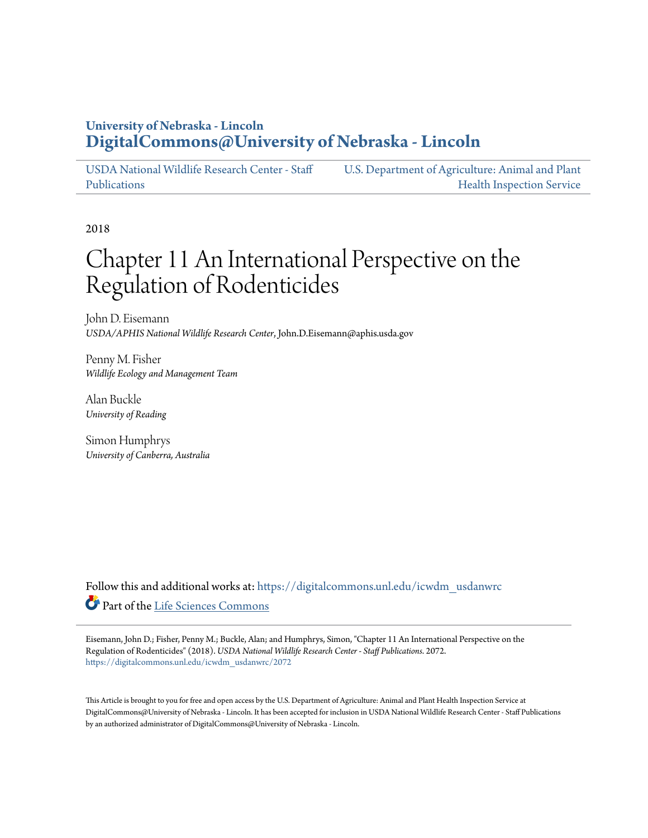# **University of Nebraska - Lincoln [DigitalCommons@University of Nebraska - Lincoln](https://digitalcommons.unl.edu?utm_source=digitalcommons.unl.edu%2Ficwdm_usdanwrc%2F2072&utm_medium=PDF&utm_campaign=PDFCoverPages)**

[USDA National Wildlife Research Center - Staff](https://digitalcommons.unl.edu/icwdm_usdanwrc?utm_source=digitalcommons.unl.edu%2Ficwdm_usdanwrc%2F2072&utm_medium=PDF&utm_campaign=PDFCoverPages) [Publications](https://digitalcommons.unl.edu/icwdm_usdanwrc?utm_source=digitalcommons.unl.edu%2Ficwdm_usdanwrc%2F2072&utm_medium=PDF&utm_campaign=PDFCoverPages) [U.S. Department of Agriculture: Animal and Plant](https://digitalcommons.unl.edu/usdaaphis?utm_source=digitalcommons.unl.edu%2Ficwdm_usdanwrc%2F2072&utm_medium=PDF&utm_campaign=PDFCoverPages) [Health Inspection Service](https://digitalcommons.unl.edu/usdaaphis?utm_source=digitalcommons.unl.edu%2Ficwdm_usdanwrc%2F2072&utm_medium=PDF&utm_campaign=PDFCoverPages)

2018

# Chapter 11 An International Perspective on the Regulation of Rodenticides

John D. Eisemann *USDA/APHIS National Wildlife Research Center*, John.D.Eisemann@aphis.usda.gov

Penny M. Fisher *Wildlife Ecology and Management Team*

Alan Buckle *University of Reading*

Simon Humphrys *University of Canberra, Australia*

Follow this and additional works at: [https://digitalcommons.unl.edu/icwdm\\_usdanwrc](https://digitalcommons.unl.edu/icwdm_usdanwrc?utm_source=digitalcommons.unl.edu%2Ficwdm_usdanwrc%2F2072&utm_medium=PDF&utm_campaign=PDFCoverPages) Part of the [Life Sciences Commons](http://network.bepress.com/hgg/discipline/1016?utm_source=digitalcommons.unl.edu%2Ficwdm_usdanwrc%2F2072&utm_medium=PDF&utm_campaign=PDFCoverPages)

Eisemann, John D.; Fisher, Penny M.; Buckle, Alan; and Humphrys, Simon, "Chapter 11 An International Perspective on the Regulation of Rodenticides" (2018). *USDA National Wildlife Research Center - Staff Publications*. 2072. [https://digitalcommons.unl.edu/icwdm\\_usdanwrc/2072](https://digitalcommons.unl.edu/icwdm_usdanwrc/2072?utm_source=digitalcommons.unl.edu%2Ficwdm_usdanwrc%2F2072&utm_medium=PDF&utm_campaign=PDFCoverPages)

This Article is brought to you for free and open access by the U.S. Department of Agriculture: Animal and Plant Health Inspection Service at DigitalCommons@University of Nebraska - Lincoln. It has been accepted for inclusion in USDA National Wildlife Research Center - Staff Publications by an authorized administrator of DigitalCommons@University of Nebraska - Lincoln.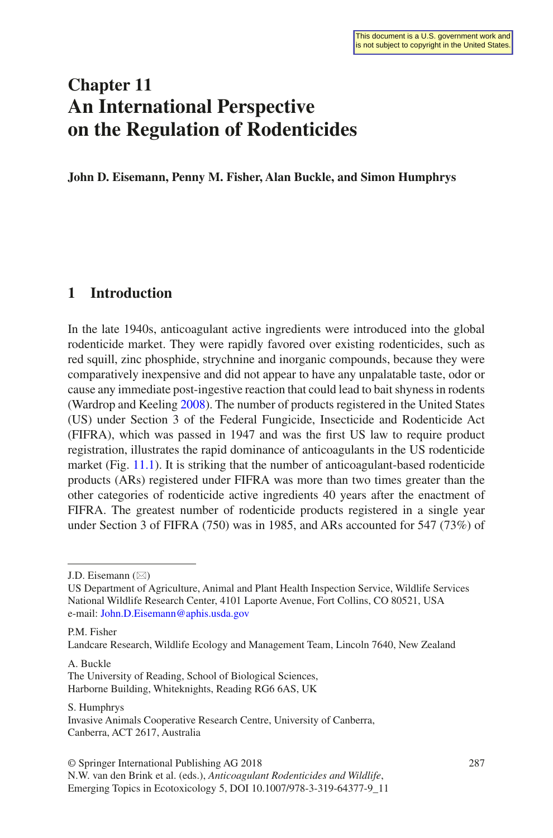# **Chapter 11 An International Perspective on the Regulation of Rodenticides**

**John D. Eisemann, Penny M. Fisher, Alan Buckle, and Simon Humphrys**

# **1 Introduction**

In the late 1940s, anticoagulant active ingredients were introduced into the global rodenticide market. They were rapidly favored over existing rodenticides, such as red squill, zinc phosphide, strychnine and inorganic compounds, because they were comparatively inexpensive and did not appear to have any unpalatable taste, odor or cause any immediate post-ingestive reaction that could lead to bait shyness in rodents (Wardrop and Keeling 2008). The number of products registered in the United States (US) under Section 3 of the Federal Fungicide, Insecticide and Rodenticide Act (FIFRA), which was passed in 1947 and was the first US law to require product registration, illustrates the rapid dominance of anticoagulants in the US rodenticide market (Fig. 11.1). It is striking that the number of anticoagulant-based rodenticide products (ARs) registered under FIFRA was more than two times greater than the other categories of rodenticide active ingredients 40 years after the enactment of FIFRA. The greatest number of rodenticide products registered in a single year under Section 3 of FIFRA (750) was in 1985, and ARs accounted for 547 (73%) of

P.M. Fisher

Landcare Research, Wildlife Ecology and Management Team, Lincoln 7640, New Zealand

A. Buckle

S. Humphrys Invasive Animals Cooperative Research Centre, University of Canberra, Canberra, ACT 2617, Australia

© Springer International Publishing AG 2018 287

N.W. van den Brink et al. (eds.), *Anticoagulant Rodenticides and Wildlife*, Emerging Topics in Ecotoxicology 5, DOI 10.1007/978-3-319-64377-9\_11

J.D. Eisemann  $(\boxtimes)$ 

US Department of Agriculture, Animal and Plant Health Inspection Service, Wildlife Services National Wildlife Research Center, 4101 Laporte Avenue, Fort Collins, CO 80521, USA e-mail: [John.D.Eisemann@aphis.usda.gov](mailto:John.D.Eisemann@aphis.usda.gov)

The University of Reading, School of Biological Sciences, Harborne Building, Whiteknights, Reading RG6 6AS, UK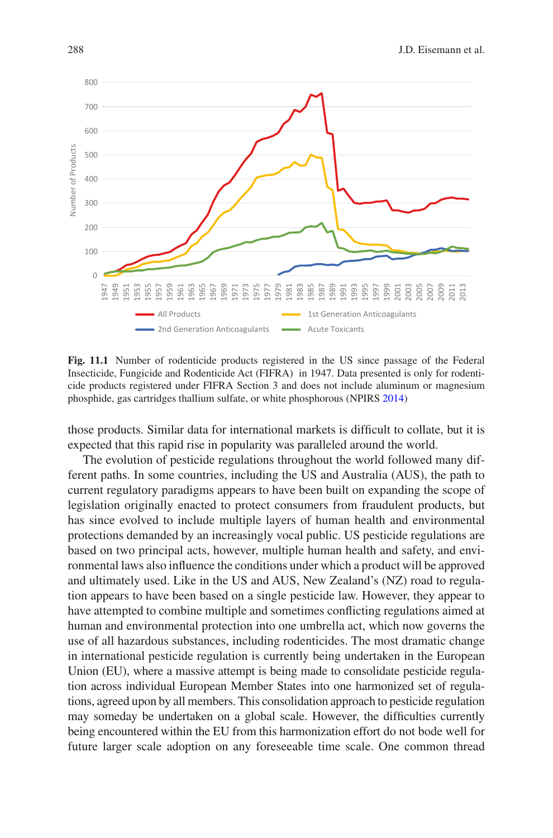

**Fig. 11.1** Number of rodenticide products registered in the US since passage of the Federal Insecticide, Fungicide and Rodenticide Act (FIFRA) in 1947. Data presented is only for rodenticide products registered under FIFRA Section 3 and does not include aluminum or magnesium phosphide, gas cartridges thallium sulfate, or white phosphorous (NPIRS 2014)

those products. Similar data for international markets is difficult to collate, but it is expected that this rapid rise in popularity was paralleled around the world.

The evolution of pesticide regulations throughout the world followed many different paths. In some countries, including the US and Australia (AUS), the path to current regulatory paradigms appears to have been built on expanding the scope of legislation originally enacted to protect consumers from fraudulent products, but has since evolved to include multiple layers of human health and environmental protections demanded by an increasingly vocal public. US pesticide regulations are based on two principal acts, however, multiple human health and safety, and environmental laws also influence the conditions under which a product will be approved and ultimately used. Like in the US and AUS, New Zealand's (NZ) road to regulation appears to have been based on a single pesticide law. However, they appear to have attempted to combine multiple and sometimes conflicting regulations aimed at human and environmental protection into one umbrella act, which now governs the use of all hazardous substances, including rodenticides. The most dramatic change in international pesticide regulation is currently being undertaken in the European Union (EU), where a massive attempt is being made to consolidate pesticide regulation across individual European Member States into one harmonized set of regulations, agreed upon by all members. This consolidation approach to pesticide regulation may someday be undertaken on a global scale. However, the difficulties currently being encountered within the EU from this harmonization effort do not bode well for future larger scale adoption on any foreseeable time scale. One common thread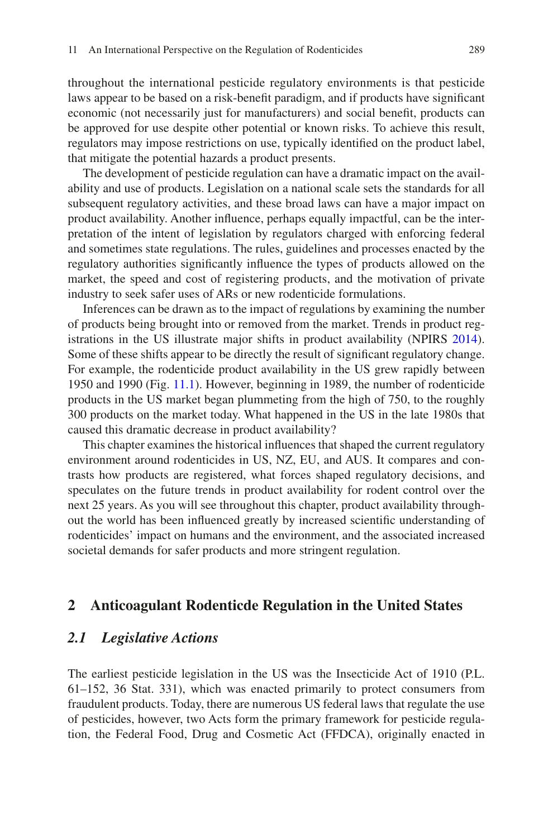throughout the international pesticide regulatory environments is that pesticide laws appear to be based on a risk-benefit paradigm, and if products have significant economic (not necessarily just for manufacturers) and social benefit, products can be approved for use despite other potential or known risks. To achieve this result, regulators may impose restrictions on use, typically identified on the product label, that mitigate the potential hazards a product presents.

The development of pesticide regulation can have a dramatic impact on the availability and use of products. Legislation on a national scale sets the standards for all subsequent regulatory activities, and these broad laws can have a major impact on product availability. Another influence, perhaps equally impactful, can be the interpretation of the intent of legislation by regulators charged with enforcing federal and sometimes state regulations. The rules, guidelines and processes enacted by the regulatory authorities significantly influence the types of products allowed on the market, the speed and cost of registering products, and the motivation of private industry to seek safer uses of ARs or new rodenticide formulations.

Inferences can be drawn as to the impact of regulations by examining the number of products being brought into or removed from the market. Trends in product registrations in the US illustrate major shifts in product availability (NPIRS 2014). Some of these shifts appear to be directly the result of significant regulatory change. For example, the rodenticide product availability in the US grew rapidly between 1950 and 1990 (Fig. 11.1). However, beginning in 1989, the number of rodenticide products in the US market began plummeting from the high of 750, to the roughly 300 products on the market today. What happened in the US in the late 1980s that caused this dramatic decrease in product availability?

This chapter examines the historical influences that shaped the current regulatory environment around rodenticides in US, NZ, EU, and AUS. It compares and contrasts how products are registered, what forces shaped regulatory decisions, and speculates on the future trends in product availability for rodent control over the next 25 years. As you will see throughout this chapter, product availability throughout the world has been influenced greatly by increased scientific understanding of rodenticides' impact on humans and the environment, and the associated increased societal demands for safer products and more stringent regulation.

#### **2 Anticoagulant Rodenticde Regulation in the United States**

#### *2.1 Legislative Actions*

The earliest pesticide legislation in the US was the Insecticide Act of 1910 (P.L. 61–152, 36 Stat. 331), which was enacted primarily to protect consumers from fraudulent products. Today, there are numerous US federal laws that regulate the use of pesticides, however, two Acts form the primary framework for pesticide regulation, the Federal Food, Drug and Cosmetic Act (FFDCA), originally enacted in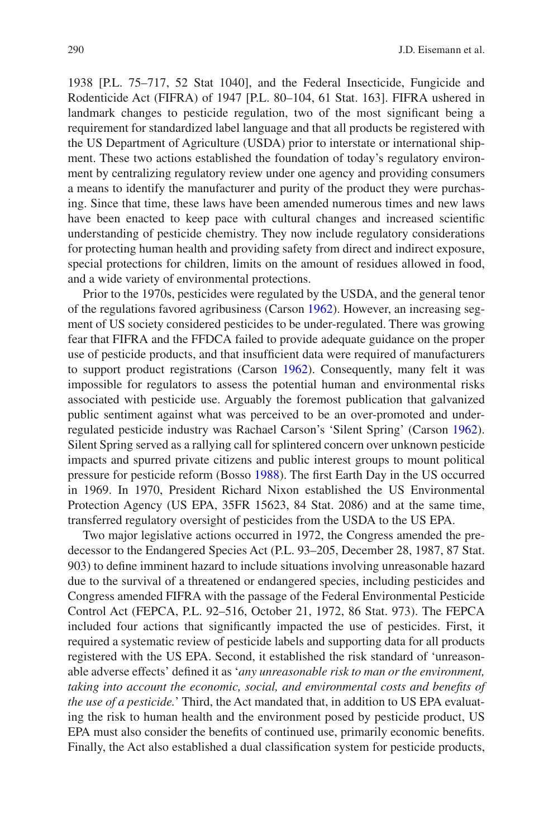1938 [P.L. 75–717, 52 Stat 1040], and the Federal Insecticide, Fungicide and Rodenticide Act (FIFRA) of 1947 [P.L. 80–104, 61 Stat. 163]. FIFRA ushered in landmark changes to pesticide regulation, two of the most significant being a requirement for standardized label language and that all products be registered with the US Department of Agriculture (USDA) prior to interstate or international shipment. These two actions established the foundation of today's regulatory environment by centralizing regulatory review under one agency and providing consumers a means to identify the manufacturer and purity of the product they were purchasing. Since that time, these laws have been amended numerous times and new laws have been enacted to keep pace with cultural changes and increased scientific understanding of pesticide chemistry. They now include regulatory considerations for protecting human health and providing safety from direct and indirect exposure, special protections for children, limits on the amount of residues allowed in food, and a wide variety of environmental protections.

Prior to the 1970s, pesticides were regulated by the USDA, and the general tenor of the regulations favored agribusiness (Carson 1962). However, an increasing segment of US society considered pesticides to be under-regulated. There was growing fear that FIFRA and the FFDCA failed to provide adequate guidance on the proper use of pesticide products, and that insufficient data were required of manufacturers to support product registrations (Carson 1962). Consequently, many felt it was impossible for regulators to assess the potential human and environmental risks associated with pesticide use. Arguably the foremost publication that galvanized public sentiment against what was perceived to be an over-promoted and underregulated pesticide industry was Rachael Carson's 'Silent Spring' (Carson 1962). Silent Spring served as a rallying call for splintered concern over unknown pesticide impacts and spurred private citizens and public interest groups to mount political pressure for pesticide reform (Bosso 1988). The first Earth Day in the US occurred in 1969. In 1970, President Richard Nixon established the US Environmental Protection Agency (US EPA, 35FR 15623, 84 Stat. 2086) and at the same time, transferred regulatory oversight of pesticides from the USDA to the US EPA.

Two major legislative actions occurred in 1972, the Congress amended the predecessor to the Endangered Species Act (P.L. 93–205, December 28, 1987, 87 Stat. 903) to define imminent hazard to include situations involving unreasonable hazard due to the survival of a threatened or endangered species, including pesticides and Congress amended FIFRA with the passage of the Federal Environmental Pesticide Control Act (FEPCA, P.L. 92–516, October 21, 1972, 86 Stat. 973). The FEPCA included four actions that significantly impacted the use of pesticides. First, it required a systematic review of pesticide labels and supporting data for all products registered with the US EPA. Second, it established the risk standard of 'unreasonable adverse effects' defined it as '*any unreasonable risk to man or the environment, taking into account the economic, social, and environmental costs and benefits of the use of a pesticide.*' Third, the Act mandated that, in addition to US EPA evaluating the risk to human health and the environment posed by pesticide product, US EPA must also consider the benefits of continued use, primarily economic benefits. Finally, the Act also established a dual classification system for pesticide products,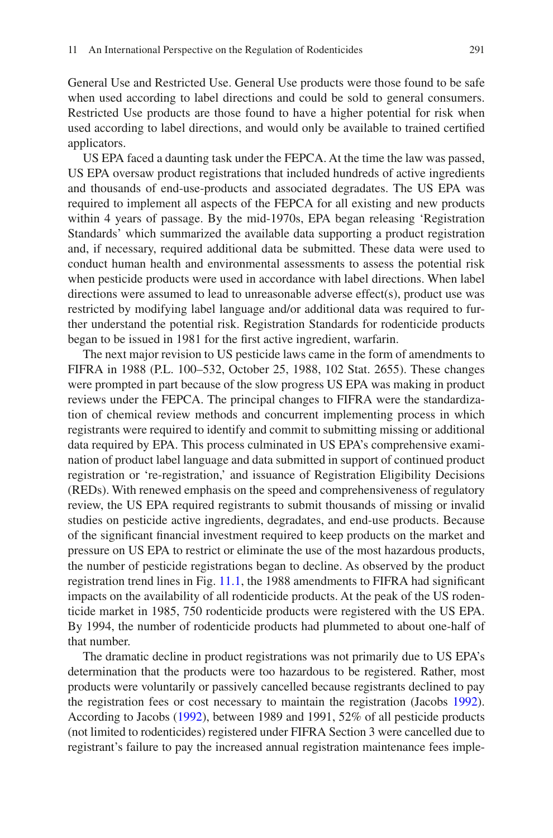General Use and Restricted Use. General Use products were those found to be safe when used according to label directions and could be sold to general consumers. Restricted Use products are those found to have a higher potential for risk when used according to label directions, and would only be available to trained certified applicators.

US EPA faced a daunting task under the FEPCA. At the time the law was passed, US EPA oversaw product registrations that included hundreds of active ingredients and thousands of end-use-products and associated degradates. The US EPA was required to implement all aspects of the FEPCA for all existing and new products within 4 years of passage. By the mid-1970s, EPA began releasing 'Registration Standards' which summarized the available data supporting a product registration and, if necessary, required additional data be submitted. These data were used to conduct human health and environmental assessments to assess the potential risk when pesticide products were used in accordance with label directions. When label directions were assumed to lead to unreasonable adverse effect(s), product use was restricted by modifying label language and/or additional data was required to further understand the potential risk. Registration Standards for rodenticide products began to be issued in 1981 for the first active ingredient, warfarin.

The next major revision to US pesticide laws came in the form of amendments to FIFRA in 1988 (P.L. 100–532, October 25, 1988, 102 Stat. 2655). These changes were prompted in part because of the slow progress US EPA was making in product reviews under the FEPCA. The principal changes to FIFRA were the standardization of chemical review methods and concurrent implementing process in which registrants were required to identify and commit to submitting missing or additional data required by EPA. This process culminated in US EPA's comprehensive examination of product label language and data submitted in support of continued product registration or 're-registration,' and issuance of Registration Eligibility Decisions (REDs). With renewed emphasis on the speed and comprehensiveness of regulatory review, the US EPA required registrants to submit thousands of missing or invalid studies on pesticide active ingredients, degradates, and end-use products. Because of the significant financial investment required to keep products on the market and pressure on US EPA to restrict or eliminate the use of the most hazardous products, the number of pesticide registrations began to decline. As observed by the product registration trend lines in Fig. 11.1, the 1988 amendments to FIFRA had significant impacts on the availability of all rodenticide products. At the peak of the US rodenticide market in 1985, 750 rodenticide products were registered with the US EPA. By 1994, the number of rodenticide products had plummeted to about one-half of that number.

The dramatic decline in product registrations was not primarily due to US EPA's determination that the products were too hazardous to be registered. Rather, most products were voluntarily or passively cancelled because registrants declined to pay the registration fees or cost necessary to maintain the registration (Jacobs 1992). According to Jacobs (1992), between 1989 and 1991, 52% of all pesticide products (not limited to rodenticides) registered under FIFRA Section 3 were cancelled due to registrant's failure to pay the increased annual registration maintenance fees imple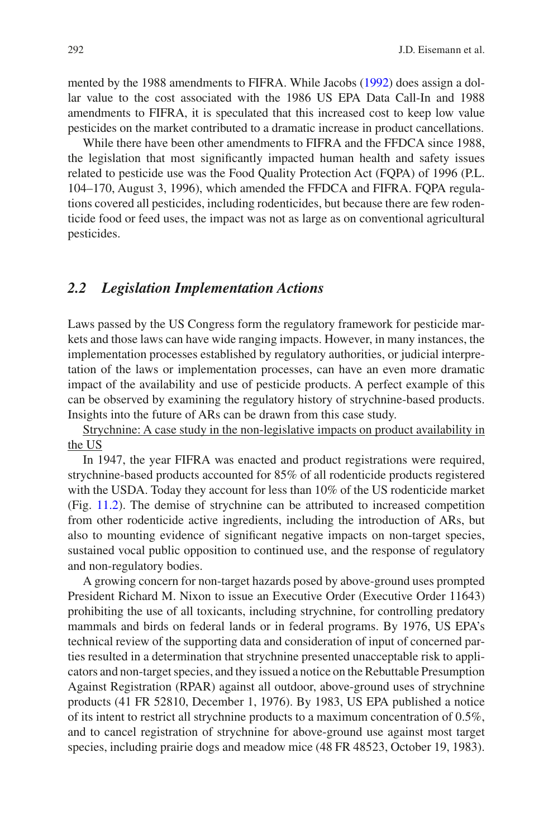mented by the 1988 amendments to FIFRA. While Jacobs (1992) does assign a dollar value to the cost associated with the 1986 US EPA Data Call-In and 1988 amendments to FIFRA, it is speculated that this increased cost to keep low value pesticides on the market contributed to a dramatic increase in product cancellations.

While there have been other amendments to FIFRA and the FFDCA since 1988, the legislation that most significantly impacted human health and safety issues related to pesticide use was the Food Quality Protection Act (FQPA) of 1996 (P.L. 104–170, August 3, 1996), which amended the FFDCA and FIFRA. FQPA regulations covered all pesticides, including rodenticides, but because there are few rodenticide food or feed uses, the impact was not as large as on conventional agricultural pesticides.

#### *2.2 Legislation Implementation Actions*

Laws passed by the US Congress form the regulatory framework for pesticide markets and those laws can have wide ranging impacts. However, in many instances, the implementation processes established by regulatory authorities, or judicial interpretation of the laws or implementation processes, can have an even more dramatic impact of the availability and use of pesticide products. A perfect example of this can be observed by examining the regulatory history of strychnine-based products. Insights into the future of ARs can be drawn from this case study.

Strychnine: A case study in the non-legislative impacts on product availability in the US

In 1947, the year FIFRA was enacted and product registrations were required, strychnine-based products accounted for 85% of all rodenticide products registered with the USDA. Today they account for less than 10% of the US rodenticide market (Fig. 11.2). The demise of strychnine can be attributed to increased competition from other rodenticide active ingredients, including the introduction of ARs, but also to mounting evidence of significant negative impacts on non-target species, sustained vocal public opposition to continued use, and the response of regulatory and non-regulatory bodies.

A growing concern for non-target hazards posed by above-ground uses prompted President Richard M. Nixon to issue an Executive Order (Executive Order 11643) prohibiting the use of all toxicants, including strychnine, for controlling predatory mammals and birds on federal lands or in federal programs. By 1976, US EPA's technical review of the supporting data and consideration of input of concerned parties resulted in a determination that strychnine presented unacceptable risk to applicators and non-target species, and they issued a notice on the Rebuttable Presumption Against Registration (RPAR) against all outdoor, above-ground uses of strychnine products (41 FR 52810, December 1, 1976). By 1983, US EPA published a notice of its intent to restrict all strychnine products to a maximum concentration of 0.5%, and to cancel registration of strychnine for above-ground use against most target species, including prairie dogs and meadow mice (48 FR 48523, October 19, 1983).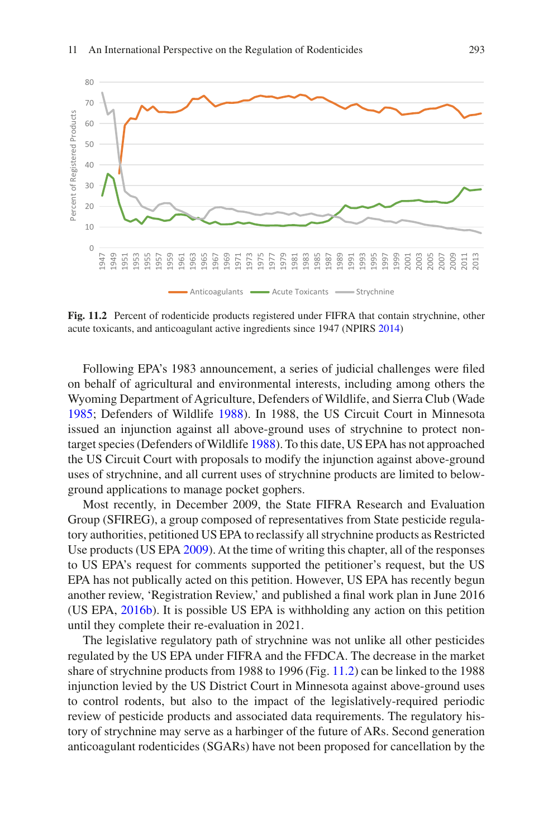

**Fig. 11.2** Percent of rodenticide products registered under FIFRA that contain strychnine, other acute toxicants, and anticoagulant active ingredients since 1947 (NPIRS 2014)

Following EPA's 1983 announcement, a series of judicial challenges were filed on behalf of agricultural and environmental interests, including among others the Wyoming Department of Agriculture, Defenders of Wildlife, and Sierra Club (Wade 1985; Defenders of Wildlife 1988). In 1988, the US Circuit Court in Minnesota issued an injunction against all above-ground uses of strychnine to protect nontarget species (Defenders of Wildlife 1988). To this date, US EPA has not approached the US Circuit Court with proposals to modify the injunction against above-ground uses of strychnine, and all current uses of strychnine products are limited to belowground applications to manage pocket gophers.

Most recently, in December 2009, the State FIFRA Research and Evaluation Group (SFIREG), a group composed of representatives from State pesticide regulatory authorities, petitioned US EPA to reclassify all strychnine products as Restricted Use products (US EPA 2009). At the time of writing this chapter, all of the responses to US EPA's request for comments supported the petitioner's request, but the US EPA has not publically acted on this petition. However, US EPA has recently begun another review, 'Registration Review,' and published a final work plan in June 2016 (US EPA, 2016b). It is possible US EPA is withholding any action on this petition until they complete their re-evaluation in 2021.

The legislative regulatory path of strychnine was not unlike all other pesticides regulated by the US EPA under FIFRA and the FFDCA. The decrease in the market share of strychnine products from 1988 to 1996 (Fig. 11.2) can be linked to the 1988 injunction levied by the US District Court in Minnesota against above-ground uses to control rodents, but also to the impact of the legislatively-required periodic review of pesticide products and associated data requirements. The regulatory history of strychnine may serve as a harbinger of the future of ARs. Second generation anticoagulant rodenticides (SGARs) have not been proposed for cancellation by the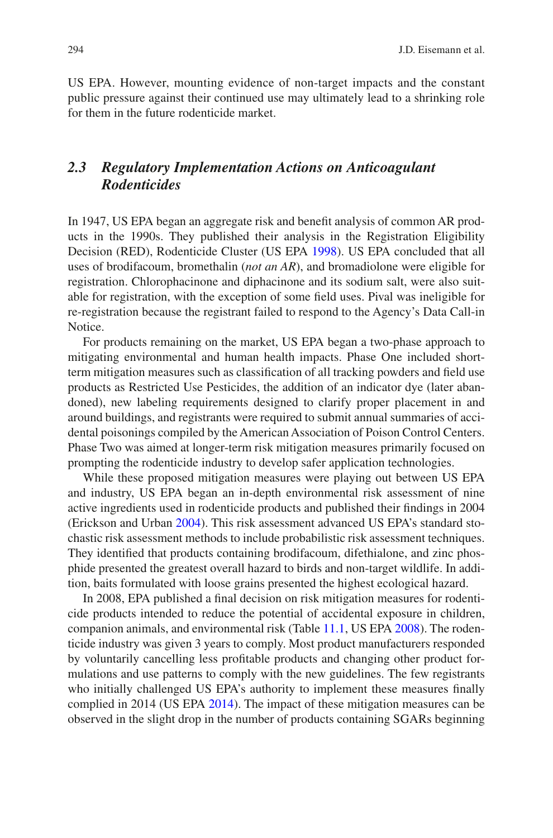US EPA. However, mounting evidence of non-target impacts and the constant public pressure against their continued use may ultimately lead to a shrinking role for them in the future rodenticide market.

## *2.3 Regulatory Implementation Actions on Anticoagulant Rodenticides*

In 1947, US EPA began an aggregate risk and benefit analysis of common AR products in the 1990s. They published their analysis in the Registration Eligibility Decision (RED), Rodenticide Cluster (US EPA 1998). US EPA concluded that all uses of brodifacoum, bromethalin (*not an AR*), and bromadiolone were eligible for registration. Chlorophacinone and diphacinone and its sodium salt, were also suitable for registration, with the exception of some field uses. Pival was ineligible for re-registration because the registrant failed to respond to the Agency's Data Call-in Notice.

For products remaining on the market, US EPA began a two-phase approach to mitigating environmental and human health impacts. Phase One included shortterm mitigation measures such as classification of all tracking powders and field use products as Restricted Use Pesticides, the addition of an indicator dye (later abandoned), new labeling requirements designed to clarify proper placement in and around buildings, and registrants were required to submit annual summaries of accidental poisonings compiled by the American Association of Poison Control Centers. Phase Two was aimed at longer-term risk mitigation measures primarily focused on prompting the rodenticide industry to develop safer application technologies.

While these proposed mitigation measures were playing out between US EPA and industry, US EPA began an in-depth environmental risk assessment of nine active ingredients used in rodenticide products and published their findings in 2004 (Erickson and Urban 2004). This risk assessment advanced US EPA's standard stochastic risk assessment methods to include probabilistic risk assessment techniques. They identified that products containing brodifacoum, difethialone, and zinc phosphide presented the greatest overall hazard to birds and non-target wildlife. In addition, baits formulated with loose grains presented the highest ecological hazard.

In 2008, EPA published a final decision on risk mitigation measures for rodenticide products intended to reduce the potential of accidental exposure in children, companion animals, and environmental risk (Table 11.1, US EPA 2008). The rodenticide industry was given 3 years to comply. Most product manufacturers responded by voluntarily cancelling less profitable products and changing other product formulations and use patterns to comply with the new guidelines. The few registrants who initially challenged US EPA's authority to implement these measures finally complied in 2014 (US EPA 2014). The impact of these mitigation measures can be observed in the slight drop in the number of products containing SGARs beginning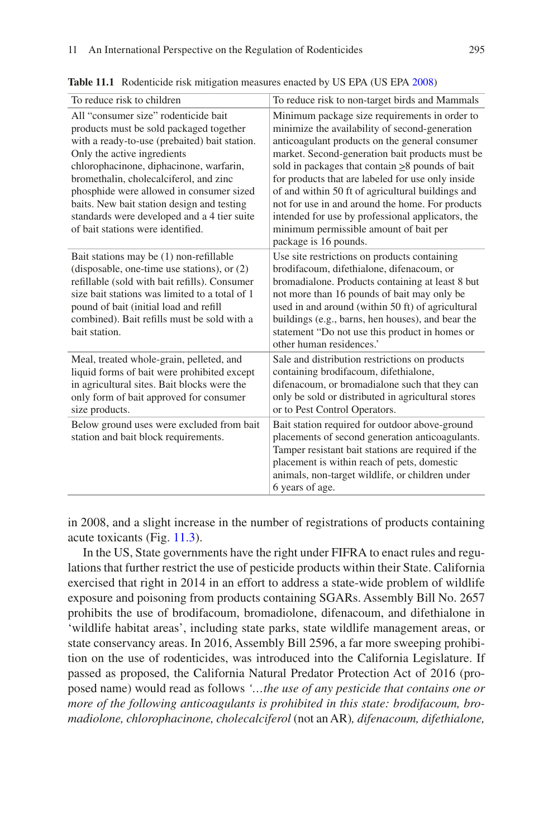| To reduce risk to children                                                                                                                                                                                                                                                                                                                                                                                                         | To reduce risk to non-target birds and Mammals                                                                                                                                                                                                                                                                                                                                                                                                                                                                                                      |
|------------------------------------------------------------------------------------------------------------------------------------------------------------------------------------------------------------------------------------------------------------------------------------------------------------------------------------------------------------------------------------------------------------------------------------|-----------------------------------------------------------------------------------------------------------------------------------------------------------------------------------------------------------------------------------------------------------------------------------------------------------------------------------------------------------------------------------------------------------------------------------------------------------------------------------------------------------------------------------------------------|
| All "consumer size" rodenticide bait<br>products must be sold packaged together<br>with a ready-to-use (prebaited) bait station.<br>Only the active ingredients<br>chlorophacinone, diphacinone, warfarin,<br>bromethalin, cholecalciferol, and zinc<br>phosphide were allowed in consumer sized<br>baits. New bait station design and testing<br>standards were developed and a 4 tier suite<br>of bait stations were identified. | Minimum package size requirements in order to<br>minimize the availability of second-generation<br>anticoagulant products on the general consumer<br>market. Second-generation bait products must be<br>sold in packages that contain $\geq 8$ pounds of bait<br>for products that are labeled for use only inside<br>of and within 50 ft of agricultural buildings and<br>not for use in and around the home. For products<br>intended for use by professional applicators, the<br>minimum permissible amount of bait per<br>package is 16 pounds. |
| Bait stations may be (1) non-refillable<br>(disposable, one-time use stations), or $(2)$<br>refillable (sold with bait refills). Consumer<br>size bait stations was limited to a total of 1<br>pound of bait (initial load and refill<br>combined). Bait refills must be sold with a<br>bait station.                                                                                                                              | Use site restrictions on products containing<br>brodifacoum, difethialone, difenacoum, or<br>bromadialone. Products containing at least 8 but<br>not more than 16 pounds of bait may only be<br>used in and around (within 50 ft) of agricultural<br>buildings (e.g., barns, hen houses), and bear the<br>statement "Do not use this product in homes or<br>other human residences.'                                                                                                                                                                |
| Meal, treated whole-grain, pelleted, and<br>liquid forms of bait were prohibited except<br>in agricultural sites. Bait blocks were the<br>only form of bait approved for consumer<br>size products.                                                                                                                                                                                                                                | Sale and distribution restrictions on products<br>containing brodifacoum, difethialone,<br>difenacoum, or bromadialone such that they can<br>only be sold or distributed in agricultural stores<br>or to Pest Control Operators.                                                                                                                                                                                                                                                                                                                    |
| Below ground uses were excluded from bait<br>station and bait block requirements.                                                                                                                                                                                                                                                                                                                                                  | Bait station required for outdoor above-ground<br>placements of second generation anticoagulants.<br>Tamper resistant bait stations are required if the<br>placement is within reach of pets, domestic<br>animals, non-target wildlife, or children under<br>6 years of age.                                                                                                                                                                                                                                                                        |

Table 11.1 Rodenticide risk mitigation measures enacted by US EPA (US EPA  $2008$ )

in 2008, and a slight increase in the number of registrations of products containing acute toxicants (Fig. 11.3).

In the US, State governments have the right under FIFRA to enact rules and regulations that further restrict the use of pesticide products within their State. California exercised that right in 2014 in an effort to address a state-wide problem of wildlife exposure and poisoning from products containing SGARs. Assembly Bill No. 2657 prohibits the use of brodifacoum, bromadiolone, difenacoum, and difethialone in 'wildlife habitat areas', including state parks, state wildlife management areas, or state conservancy areas. In 2016, Assembly Bill 2596, a far more sweeping prohibition on the use of rodenticides, was introduced into the California Legislature. If passed as proposed, the California Natural Predator Protection Act of 2016 (proposed name) would read as follows *'…the use of any pesticide that contains one or more of the following anticoagulants is prohibited in this state: brodifacoum, bromadiolone, chlorophacinone, cholecalciferol* (not an AR)*, difenacoum, difethialone,*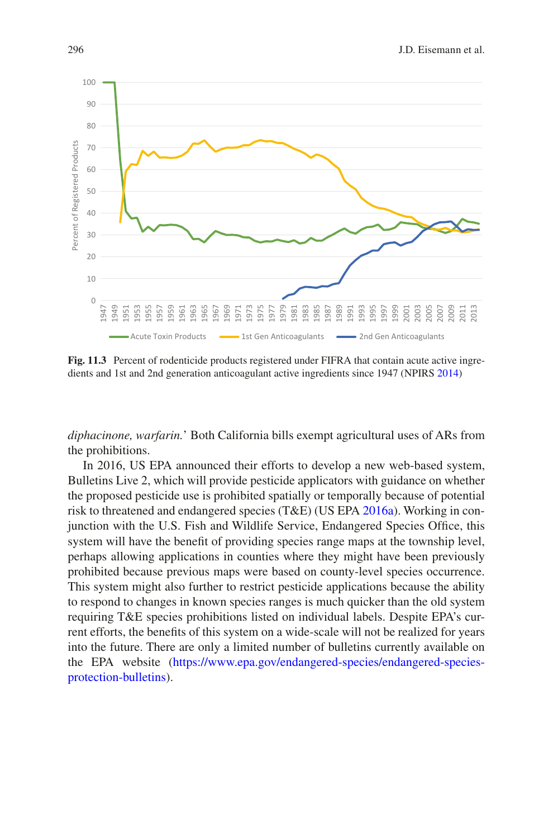

**Fig. 11.3** Percent of rodenticide products registered under FIFRA that contain acute active ingredients and 1st and 2nd generation anticoagulant active ingredients since 1947 (NPIRS 2014)

*diphacinone, warfarin.*' Both California bills exempt agricultural uses of ARs from the prohibitions.

In 2016, US EPA announced their efforts to develop a new web-based system, Bulletins Live 2, which will provide pesticide applicators with guidance on whether the proposed pesticide use is prohibited spatially or temporally because of potential risk to threatened and endangered species (T&E) (US EPA 2016a). Working in conjunction with the U.S. Fish and Wildlife Service, Endangered Species Office, this system will have the benefit of providing species range maps at the township level, perhaps allowing applications in counties where they might have been previously prohibited because previous maps were based on county-level species occurrence. This system might also further to restrict pesticide applications because the ability to respond to changes in known species ranges is much quicker than the old system requiring T&E species prohibitions listed on individual labels. Despite EPA's current efforts, the benefits of this system on a wide-scale will not be realized for years into the future. There are only a limited number of bulletins currently available on the EPA website [\(https://www.epa.gov/endangered-species/endangered-species](https://www.epa.gov/endangered-species/endangered-species-protection-bulletins)[protection-bulletins\)](https://www.epa.gov/endangered-species/endangered-species-protection-bulletins).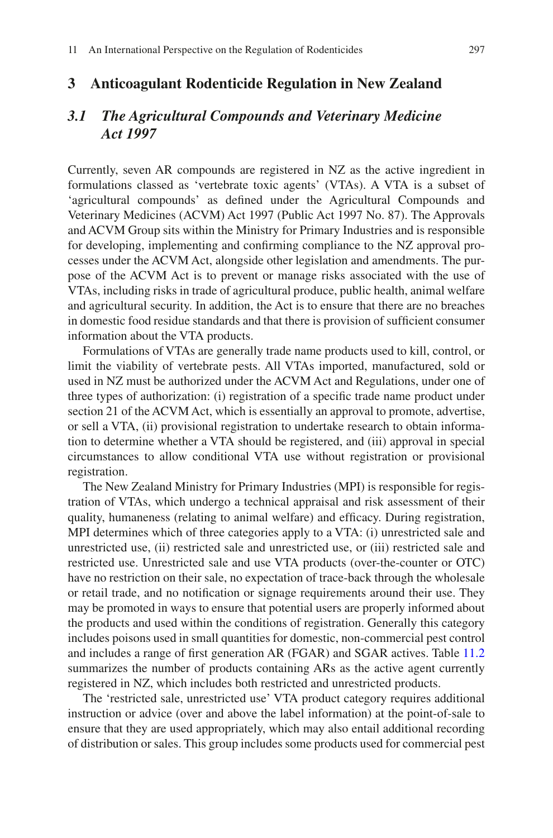#### **3 Anticoagulant Rodenticide Regulation in New Zealand**

## *3.1 The Agricultural Compounds and Veterinary Medicine Act 1997*

Currently, seven AR compounds are registered in NZ as the active ingredient in formulations classed as 'vertebrate toxic agents' (VTAs). A VTA is a subset of 'agricultural compounds' as defined under the Agricultural Compounds and Veterinary Medicines (ACVM) Act 1997 (Public Act 1997 No. 87). The Approvals and ACVM Group sits within the Ministry for Primary Industries and is responsible for developing, implementing and confirming compliance to the NZ approval processes under the ACVM Act, alongside other legislation and amendments. The purpose of the ACVM Act is to prevent or manage risks associated with the use of VTAs, including risks in trade of agricultural produce, public health, animal welfare and agricultural security. In addition, the Act is to ensure that there are no breaches in domestic food residue standards and that there is provision of sufficient consumer information about the VTA products.

Formulations of VTAs are generally trade name products used to kill, control, or limit the viability of vertebrate pests. All VTAs imported, manufactured, sold or used in NZ must be authorized under the ACVM Act and Regulations, under one of three types of authorization: (i) registration of a specific trade name product under section 21 of the ACVM Act, which is essentially an approval to promote, advertise, or sell a VTA, (ii) provisional registration to undertake research to obtain information to determine whether a VTA should be registered, and (iii) approval in special circumstances to allow conditional VTA use without registration or provisional registration.

The New Zealand Ministry for Primary Industries (MPI) is responsible for registration of VTAs, which undergo a technical appraisal and risk assessment of their quality, humaneness (relating to animal welfare) and efficacy. During registration, MPI determines which of three categories apply to a VTA: (i) unrestricted sale and unrestricted use, (ii) restricted sale and unrestricted use, or (iii) restricted sale and restricted use. Unrestricted sale and use VTA products (over-the-counter or OTC) have no restriction on their sale, no expectation of trace-back through the wholesale or retail trade, and no notification or signage requirements around their use. They may be promoted in ways to ensure that potential users are properly informed about the products and used within the conditions of registration. Generally this category includes poisons used in small quantities for domestic, non-commercial pest control and includes a range of first generation AR (FGAR) and SGAR actives. Table 11.2 summarizes the number of products containing ARs as the active agent currently registered in NZ, which includes both restricted and unrestricted products.

The 'restricted sale, unrestricted use' VTA product category requires additional instruction or advice (over and above the label information) at the point-of-sale to ensure that they are used appropriately, which may also entail additional recording of distribution or sales. This group includes some products used for commercial pest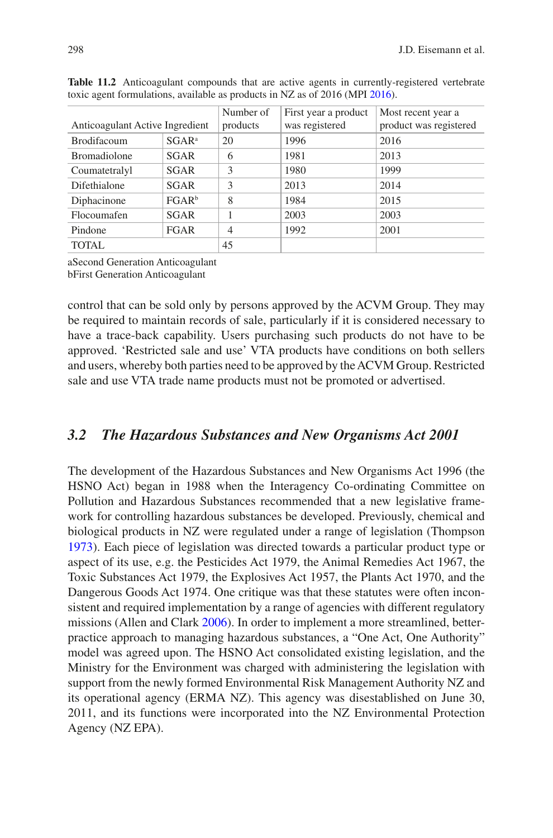|                                 |                   | Number of | First year a product | Most recent year a     |
|---------------------------------|-------------------|-----------|----------------------|------------------------|
| Anticoagulant Active Ingredient |                   | products  | was registered       | product was registered |
| <b>Brodifacoum</b>              | SGAR <sup>a</sup> | 20        | 1996                 | 2016                   |
| <b>Bromadiolone</b>             | <b>SGAR</b>       | 6         | 1981                 | 2013                   |
| Coumatetralyl                   | <b>SGAR</b>       | 3         | 1980                 | 1999                   |
| Difethialone                    | <b>SGAR</b>       | 3         | 2013                 | 2014                   |
| Diphacinone                     | $FGAR^b$          | 8         | 1984                 | 2015                   |
| Flocoumafen                     | <b>SGAR</b>       |           | 2003                 | 2003                   |
| Pindone                         | <b>FGAR</b>       | 4         | 1992                 | 2001                   |
| TOTAL.                          |                   | 45        |                      |                        |

Table 11.2 Anticoagulant compounds that are active agents in currently-registered vertebrate toxic agent formulations, available as products in NZ as of 2016 (MPI 2016).

aSecond Generation Anticoagulant bFirst Generation Anticoagulant

control that can be sold only by persons approved by the ACVM Group. They may be required to maintain records of sale, particularly if it is considered necessary to have a trace-back capability. Users purchasing such products do not have to be approved. 'Restricted sale and use' VTA products have conditions on both sellers and users, whereby both parties need to be approved by the ACVM Group. Restricted sale and use VTA trade name products must not be promoted or advertised.

#### *3.2 The Hazardous Substances and New Organisms Act 2001*

The development of the Hazardous Substances and New Organisms Act 1996 (the HSNO Act) began in 1988 when the Interagency Co-ordinating Committee on Pollution and Hazardous Substances recommended that a new legislative framework for controlling hazardous substances be developed. Previously, chemical and biological products in NZ were regulated under a range of legislation (Thompson 1973). Each piece of legislation was directed towards a particular product type or aspect of its use, e.g. the Pesticides Act 1979, the Animal Remedies Act 1967, the Toxic Substances Act 1979, the Explosives Act 1957, the Plants Act 1970, and the Dangerous Goods Act 1974. One critique was that these statutes were often inconsistent and required implementation by a range of agencies with different regulatory missions (Allen and Clark 2006). In order to implement a more streamlined, betterpractice approach to managing hazardous substances, a "One Act, One Authority" model was agreed upon. The HSNO Act consolidated existing legislation, and the Ministry for the Environment was charged with administering the legislation with support from the newly formed Environmental Risk Management Authority NZ and its operational agency (ERMA NZ). This agency was disestablished on June 30, 2011, and its functions were incorporated into the NZ Environmental Protection Agency (NZ EPA).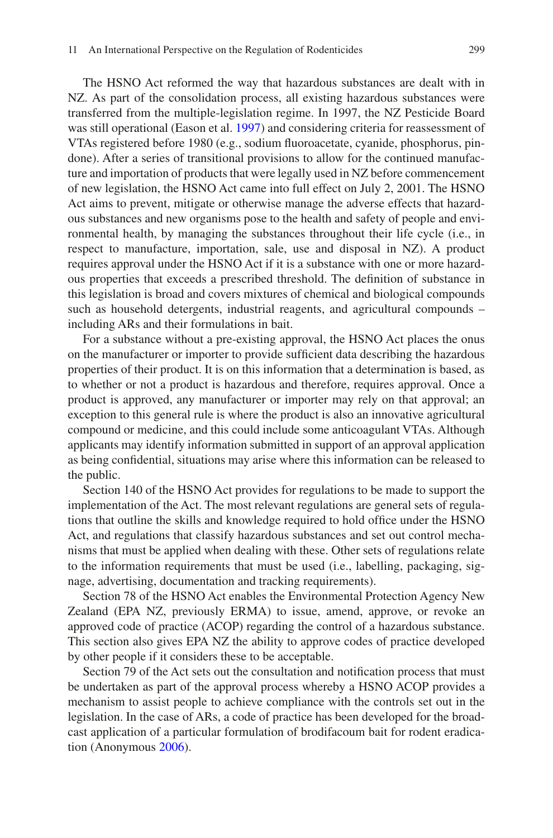The HSNO Act reformed the way that hazardous substances are dealt with in NZ. As part of the consolidation process, all existing hazardous substances were transferred from the multiple-legislation regime. In 1997, the NZ Pesticide Board was still operational (Eason et al. 1997) and considering criteria for reassessment of VTAs registered before 1980 (e.g., sodium fluoroacetate, cyanide, phosphorus, pindone). After a series of transitional provisions to allow for the continued manufacture and importation of products that were legally used in NZ before commencement of new legislation, the HSNO Act came into full effect on July 2, 2001. The HSNO Act aims to prevent, mitigate or otherwise manage the adverse effects that hazardous substances and new organisms pose to the health and safety of people and environmental health, by managing the substances throughout their life cycle (i.e., in respect to manufacture, importation, sale, use and disposal in NZ). A product requires approval under the HSNO Act if it is a substance with one or more hazardous properties that exceeds a prescribed threshold. The definition of substance in this legislation is broad and covers mixtures of chemical and biological compounds such as household detergents, industrial reagents, and agricultural compounds – including ARs and their formulations in bait.

For a substance without a pre-existing approval, the HSNO Act places the onus on the manufacturer or importer to provide sufficient data describing the hazardous properties of their product. It is on this information that a determination is based, as to whether or not a product is hazardous and therefore, requires approval. Once a product is approved, any manufacturer or importer may rely on that approval; an exception to this general rule is where the product is also an innovative agricultural compound or medicine, and this could include some anticoagulant VTAs. Although applicants may identify information submitted in support of an approval application as being confidential, situations may arise where this information can be released to the public.

Section 140 of the HSNO Act provides for regulations to be made to support the implementation of the Act. The most relevant regulations are general sets of regulations that outline the skills and knowledge required to hold office under the HSNO Act, and regulations that classify hazardous substances and set out control mechanisms that must be applied when dealing with these. Other sets of regulations relate to the information requirements that must be used (i.e., labelling, packaging, signage, advertising, documentation and tracking requirements).

Section 78 of the HSNO Act enables the Environmental Protection Agency New Zealand (EPA NZ, previously ERMA) to issue, amend, approve, or revoke an approved code of practice (ACOP) regarding the control of a hazardous substance. This section also gives EPA NZ the ability to approve codes of practice developed by other people if it considers these to be acceptable.

Section 79 of the Act sets out the consultation and notification process that must be undertaken as part of the approval process whereby a HSNO ACOP provides a mechanism to assist people to achieve compliance with the controls set out in the legislation. In the case of ARs, a code of practice has been developed for the broadcast application of a particular formulation of brodifacoum bait for rodent eradication (Anonymous 2006).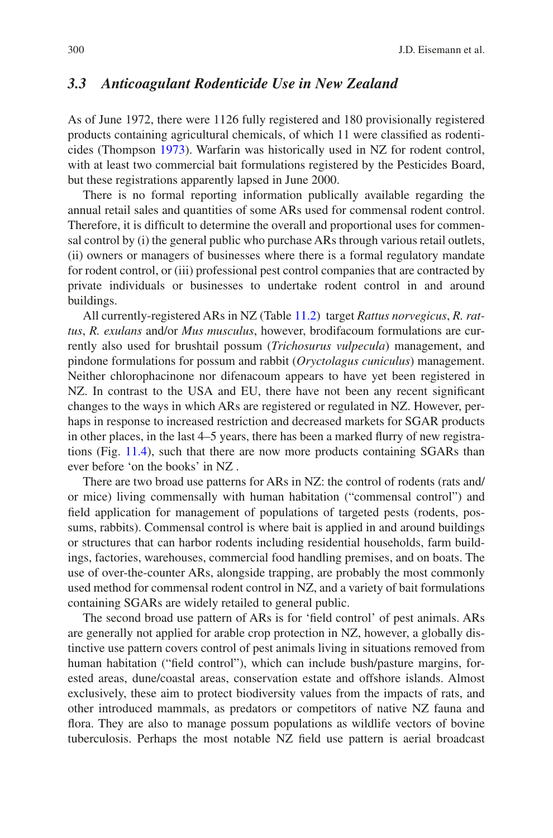#### *3.3 Anticoagulant Rodenticide Use in New Zealand*

As of June 1972, there were 1126 fully registered and 180 provisionally registered products containing agricultural chemicals, of which 11 were classified as rodenticides (Thompson 1973). Warfarin was historically used in NZ for rodent control, with at least two commercial bait formulations registered by the Pesticides Board, but these registrations apparently lapsed in June 2000.

There is no formal reporting information publically available regarding the annual retail sales and quantities of some ARs used for commensal rodent control. Therefore, it is difficult to determine the overall and proportional uses for commensal control by (i) the general public who purchase ARs through various retail outlets, (ii) owners or managers of businesses where there is a formal regulatory mandate for rodent control, or (iii) professional pest control companies that are contracted by private individuals or businesses to undertake rodent control in and around buildings.

All currently-registered ARs in NZ (Table 11.2) target *Rattus norvegicus*, *R. rattus*, *R. exulans* and/or *Mus musculus*, however, brodifacoum formulations are currently also used for brushtail possum (*Trichosurus vulpecula*) management, and pindone formulations for possum and rabbit (*Oryctolagus cuniculus*) management. Neither chlorophacinone nor difenacoum appears to have yet been registered in NZ. In contrast to the USA and EU, there have not been any recent significant changes to the ways in which ARs are registered or regulated in NZ. However, perhaps in response to increased restriction and decreased markets for SGAR products in other places, in the last 4–5 years, there has been a marked flurry of new registrations (Fig. 11.4), such that there are now more products containing SGARs than ever before 'on the books' in NZ .

There are two broad use patterns for ARs in NZ: the control of rodents (rats and/ or mice) living commensally with human habitation ("commensal control") and field application for management of populations of targeted pests (rodents, possums, rabbits). Commensal control is where bait is applied in and around buildings or structures that can harbor rodents including residential households, farm buildings, factories, warehouses, commercial food handling premises, and on boats. The use of over-the-counter ARs, alongside trapping, are probably the most commonly used method for commensal rodent control in NZ, and a variety of bait formulations containing SGARs are widely retailed to general public.

The second broad use pattern of ARs is for 'field control' of pest animals. ARs are generally not applied for arable crop protection in NZ, however, a globally distinctive use pattern covers control of pest animals living in situations removed from human habitation ("field control"), which can include bush/pasture margins, forested areas, dune/coastal areas, conservation estate and offshore islands. Almost exclusively, these aim to protect biodiversity values from the impacts of rats, and other introduced mammals, as predators or competitors of native NZ fauna and flora. They are also to manage possum populations as wildlife vectors of bovine tuberculosis. Perhaps the most notable NZ field use pattern is aerial broadcast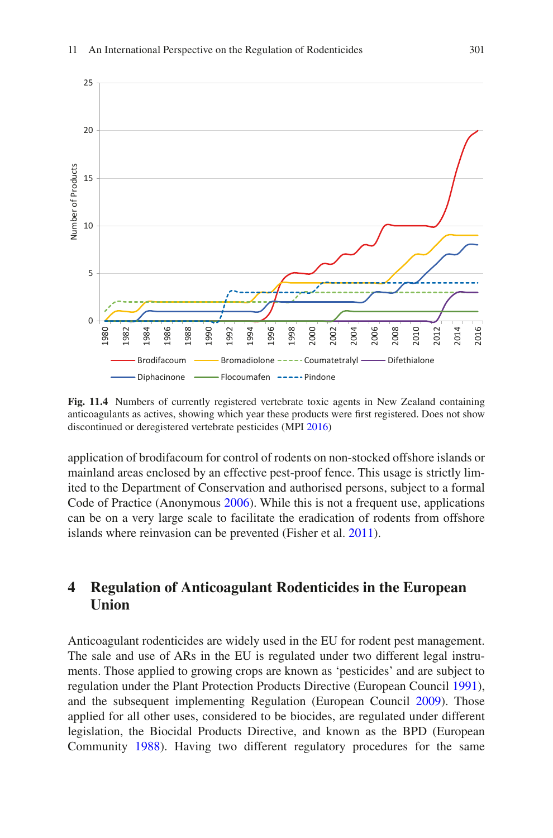

**Fig. 11.4** Numbers of currently registered vertebrate toxic agents in New Zealand containing anticoagulants as actives, showing which year these products were first registered. Does not show discontinued or deregistered vertebrate pesticides (MPI 2016)

application of brodifacoum for control of rodents on non-stocked offshore islands or mainland areas enclosed by an effective pest-proof fence. This usage is strictly limited to the Department of Conservation and authorised persons, subject to a formal Code of Practice (Anonymous 2006). While this is not a frequent use, applications can be on a very large scale to facilitate the eradication of rodents from offshore islands where reinvasion can be prevented (Fisher et al. 2011).

# **4 Regulation of Anticoagulant Rodenticides in the European Union**

Anticoagulant rodenticides are widely used in the EU for rodent pest management. The sale and use of ARs in the EU is regulated under two different legal instruments. Those applied to growing crops are known as 'pesticides' and are subject to regulation under the Plant Protection Products Directive (European Council 1991), and the subsequent implementing Regulation (European Council 2009). Those applied for all other uses, considered to be biocides, are regulated under different legislation, the Biocidal Products Directive, and known as the BPD (European Community 1988). Having two different regulatory procedures for the same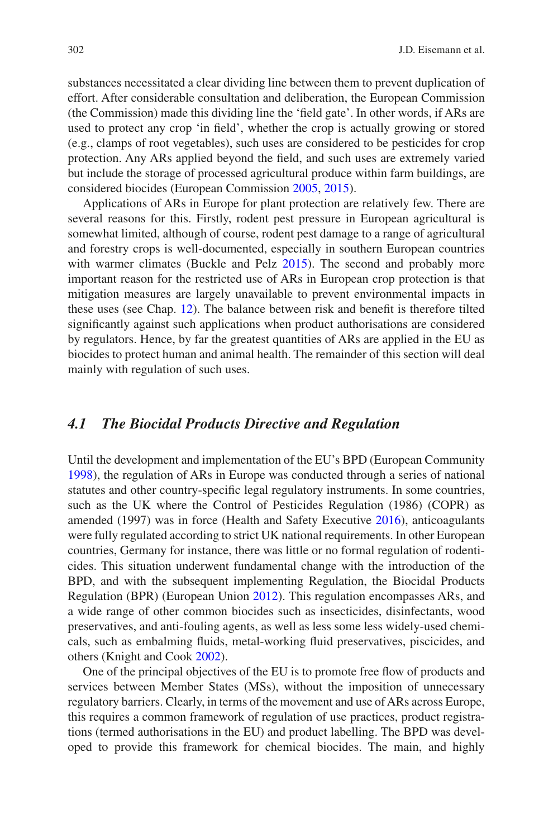substances necessitated a clear dividing line between them to prevent duplication of effort. After considerable consultation and deliberation, the European Commission (the Commission) made this dividing line the 'field gate'. In other words, if ARs are used to protect any crop 'in field', whether the crop is actually growing or stored (e.g., clamps of root vegetables), such uses are considered to be pesticides for crop protection. Any ARs applied beyond the field, and such uses are extremely varied but include the storage of processed agricultural produce within farm buildings, are considered biocides (European Commission 2005, 2015).

Applications of ARs in Europe for plant protection are relatively few. There are several reasons for this. Firstly, rodent pest pressure in European agricultural is somewhat limited, although of course, rodent pest damage to a range of agricultural and forestry crops is well-documented, especially in southern European countries with warmer climates (Buckle and Pelz 2015). The second and probably more important reason for the restricted use of ARs in European crop protection is that mitigation measures are largely unavailable to prevent environmental impacts in these uses (see Chap. 12). The balance between risk and benefit is therefore tilted significantly against such applications when product authorisations are considered by regulators. Hence, by far the greatest quantities of ARs are applied in the EU as biocides to protect human and animal health. The remainder of this section will deal mainly with regulation of such uses.

#### *4.1 The Biocidal Products Directive and Regulation*

Until the development and implementation of the EU's BPD (European Community 1998), the regulation of ARs in Europe was conducted through a series of national statutes and other country-specific legal regulatory instruments. In some countries, such as the UK where the Control of Pesticides Regulation (1986) (COPR) as amended (1997) was in force (Health and Safety Executive 2016), anticoagulants were fully regulated according to strict UK national requirements. In other European countries, Germany for instance, there was little or no formal regulation of rodenticides. This situation underwent fundamental change with the introduction of the BPD, and with the subsequent implementing Regulation, the Biocidal Products Regulation (BPR) (European Union 2012). This regulation encompasses ARs, and a wide range of other common biocides such as insecticides, disinfectants, wood preservatives, and anti-fouling agents, as well as less some less widely-used chemicals, such as embalming fluids, metal-working fluid preservatives, piscicides, and others (Knight and Cook 2002).

One of the principal objectives of the EU is to promote free flow of products and services between Member States (MSs), without the imposition of unnecessary regulatory barriers. Clearly, in terms of the movement and use of ARs across Europe, this requires a common framework of regulation of use practices, product registrations (termed authorisations in the EU) and product labelling. The BPD was developed to provide this framework for chemical biocides. The main, and highly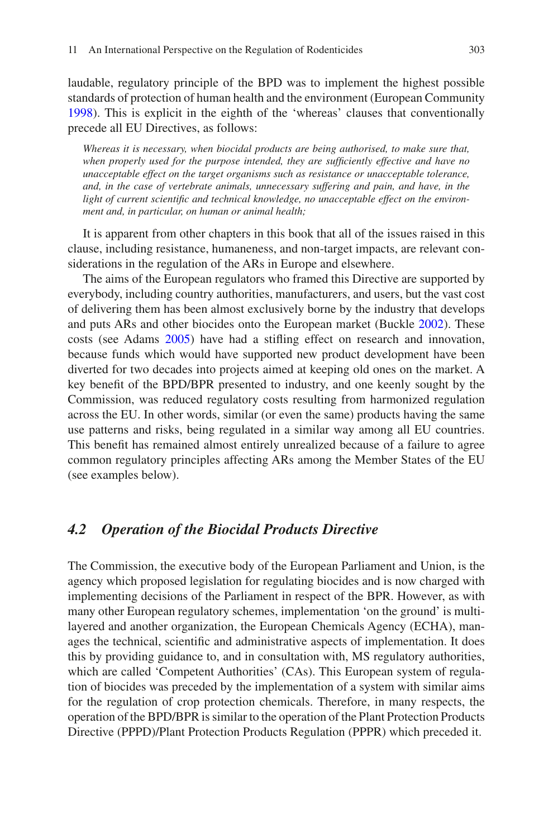laudable, regulatory principle of the BPD was to implement the highest possible standards of protection of human health and the environment (European Community 1998). This is explicit in the eighth of the 'whereas' clauses that conventionally precede all EU Directives, as follows:

*Whereas it is necessary, when biocidal products are being authorised, to make sure that, when properly used for the purpose intended, they are sufficiently effective and have no unacceptable effect on the target organisms such as resistance or unacceptable tolerance, and, in the case of vertebrate animals, unnecessary suffering and pain, and have, in the light of current scientific and technical knowledge, no unacceptable effect on the environment and, in particular, on human or animal health;*

It is apparent from other chapters in this book that all of the issues raised in this clause, including resistance, humaneness, and non-target impacts, are relevant considerations in the regulation of the ARs in Europe and elsewhere.

The aims of the European regulators who framed this Directive are supported by everybody, including country authorities, manufacturers, and users, but the vast cost of delivering them has been almost exclusively borne by the industry that develops and puts ARs and other biocides onto the European market (Buckle 2002). These costs (see Adams 2005) have had a stifling effect on research and innovation, because funds which would have supported new product development have been diverted for two decades into projects aimed at keeping old ones on the market. A key benefit of the BPD/BPR presented to industry, and one keenly sought by the Commission, was reduced regulatory costs resulting from harmonized regulation across the EU. In other words, similar (or even the same) products having the same use patterns and risks, being regulated in a similar way among all EU countries. This benefit has remained almost entirely unrealized because of a failure to agree common regulatory principles affecting ARs among the Member States of the EU (see examples below).

#### *4.2 Operation of the Biocidal Products Directive*

The Commission, the executive body of the European Parliament and Union, is the agency which proposed legislation for regulating biocides and is now charged with implementing decisions of the Parliament in respect of the BPR. However, as with many other European regulatory schemes, implementation 'on the ground' is multilayered and another organization, the European Chemicals Agency (ECHA), manages the technical, scientific and administrative aspects of implementation. It does this by providing guidance to, and in consultation with, MS regulatory authorities, which are called 'Competent Authorities' (CAs). This European system of regulation of biocides was preceded by the implementation of a system with similar aims for the regulation of crop protection chemicals. Therefore, in many respects, the operation of the BPD/BPR is similar to the operation of the Plant Protection Products Directive (PPPD)/Plant Protection Products Regulation (PPPR) which preceded it.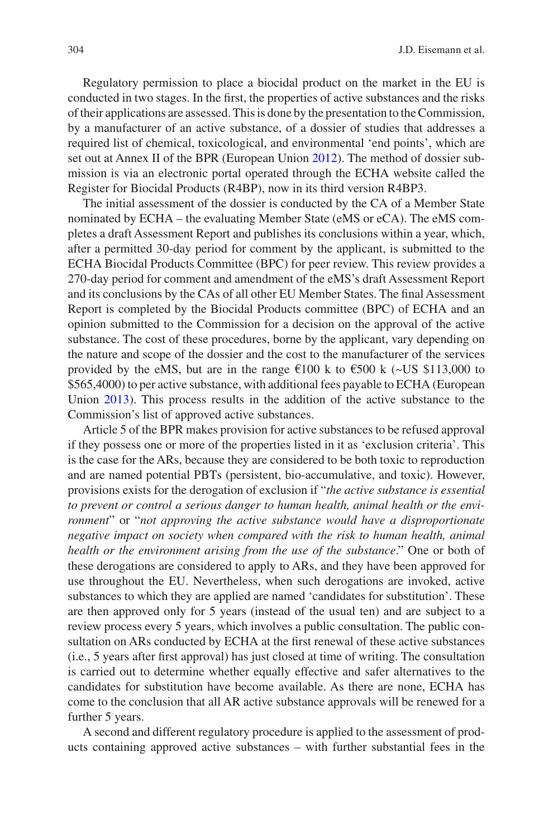Regulatory permission to place a biocidal product on the market in the EU is conducted in two stages. In the first, the properties of active substances and the risks of their applications are assessed. This is done by the presentation to the Commission, by a manufacturer of an active substance, of a dossier of studies that addresses a required list of chemical, toxicological, and environmental 'end points', which are set out at Annex II of the BPR (European Union 2012). The method of dossier submission is via an electronic portal operated through the ECHA website called the Register for Biocidal Products (R4BP), now in its third version R4BP3.

The initial assessment of the dossier is conducted by the CA of a Member State nominated by ECHA – the evaluating Member State (eMS or eCA). The eMS completes a draft Assessment Report and publishes its conclusions within a year, which, after a permitted 30-day period for comment by the applicant, is submitted to the ECHA Biocidal Products Committee (BPC) for peer review. This review provides a 270-day period for comment and amendment of the eMS's draft Assessment Report and its conclusions by the CAs of all other EU Member States. The final Assessment Report is completed by the Biocidal Products committee (BPC) of ECHA and an opinion submitted to the Commission for a decision on the approval of the active substance. The cost of these procedures, borne by the applicant, vary depending on the nature and scope of the dossier and the cost to the manufacturer of the services provided by the eMS, but are in the range  $\epsilon$ 100 k to  $\epsilon$ 500 k (~US \$113,000 to \$565,4000) to per active substance, with additional fees payable to ECHA (European Union 2013). This process results in the addition of the active substance to the Commission's list of approved active substances.

Article 5 of the BPR makes provision for active substances to be refused approval if they possess one or more of the properties listed in it as 'exclusion criteria'. This is the case for the ARs, because they are considered to be both toxic to reproduction and are named potential PBTs (persistent, bio-accumulative, and toxic). However, provisions exists for the derogation of exclusion if "*the active substance is essential to prevent or control a serious danger to human health, animal health or the environment*" or "*not approving the active substance would have a disproportionate negative impact on society when compared with the risk to human health, animal health or the environment arising from the use of the substance*." One or both of these derogations are considered to apply to ARs, and they have been approved for use throughout the EU. Nevertheless, when such derogations are invoked, active substances to which they are applied are named 'candidates for substitution'. These are then approved only for 5 years (instead of the usual ten) and are subject to a review process every 5 years, which involves a public consultation. The public consultation on ARs conducted by ECHA at the first renewal of these active substances (i.e., 5 years after first approval) has just closed at time of writing. The consultation is carried out to determine whether equally effective and safer alternatives to the candidates for substitution have become available. As there are none, ECHA has come to the conclusion that all AR active substance approvals will be renewed for a further 5 years.

A second and different regulatory procedure is applied to the assessment of products containing approved active substances – with further substantial fees in the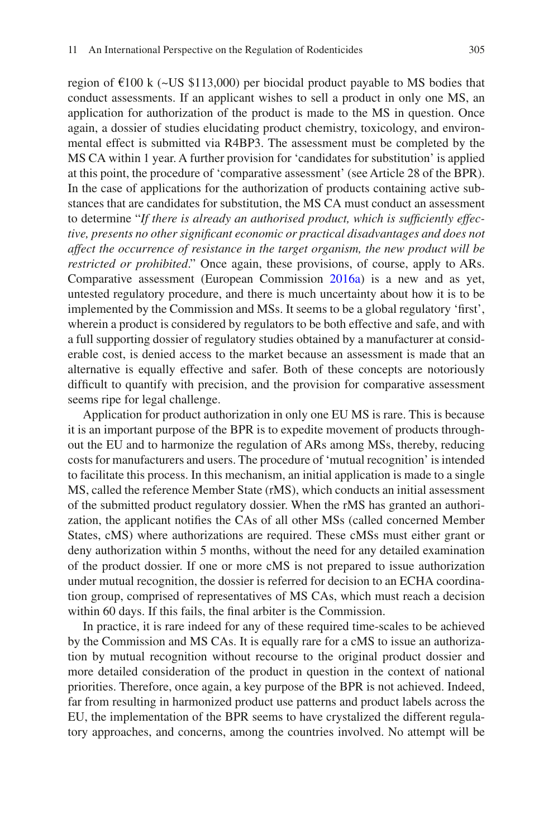region of  $\epsilon$ 100 k (~US \$113,000) per biocidal product payable to MS bodies that conduct assessments. If an applicant wishes to sell a product in only one MS, an application for authorization of the product is made to the MS in question. Once again, a dossier of studies elucidating product chemistry, toxicology, and environmental effect is submitted via R4BP3. The assessment must be completed by the MS CA within 1 year. A further provision for 'candidates for substitution' is applied at this point, the procedure of 'comparative assessment' (see Article 28 of the BPR). In the case of applications for the authorization of products containing active substances that are candidates for substitution, the MS CA must conduct an assessment to determine "*If there is already an authorised product, which is sufficiently effective, presents no other significant economic or practical disadvantages and does not affect the occurrence of resistance in the target organism, the new product will be restricted or prohibited*." Once again, these provisions, of course, apply to ARs. Comparative assessment (European Commission 2016a) is a new and as yet, untested regulatory procedure, and there is much uncertainty about how it is to be implemented by the Commission and MSs. It seems to be a global regulatory 'first', wherein a product is considered by regulators to be both effective and safe, and with a full supporting dossier of regulatory studies obtained by a manufacturer at considerable cost, is denied access to the market because an assessment is made that an alternative is equally effective and safer. Both of these concepts are notoriously difficult to quantify with precision, and the provision for comparative assessment seems ripe for legal challenge.

Application for product authorization in only one EU MS is rare. This is because it is an important purpose of the BPR is to expedite movement of products throughout the EU and to harmonize the regulation of ARs among MSs, thereby, reducing costs for manufacturers and users. The procedure of 'mutual recognition' is intended to facilitate this process. In this mechanism, an initial application is made to a single MS, called the reference Member State (rMS), which conducts an initial assessment of the submitted product regulatory dossier. When the rMS has granted an authorization, the applicant notifies the CAs of all other MSs (called concerned Member States, cMS) where authorizations are required. These cMSs must either grant or deny authorization within 5 months, without the need for any detailed examination of the product dossier. If one or more cMS is not prepared to issue authorization under mutual recognition, the dossier is referred for decision to an ECHA coordination group, comprised of representatives of MS CAs, which must reach a decision within 60 days. If this fails, the final arbiter is the Commission.

In practice, it is rare indeed for any of these required time-scales to be achieved by the Commission and MS CAs. It is equally rare for a cMS to issue an authorization by mutual recognition without recourse to the original product dossier and more detailed consideration of the product in question in the context of national priorities. Therefore, once again, a key purpose of the BPR is not achieved. Indeed, far from resulting in harmonized product use patterns and product labels across the EU, the implementation of the BPR seems to have crystalized the different regulatory approaches, and concerns, among the countries involved. No attempt will be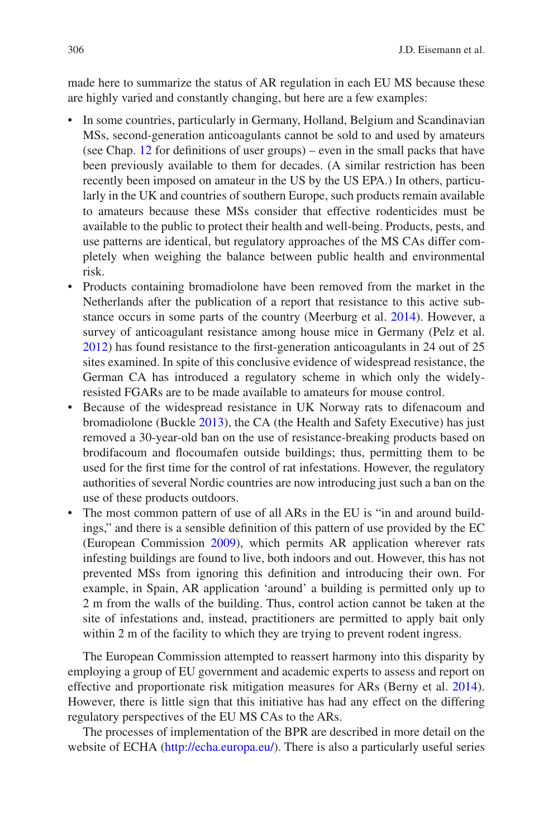made here to summarize the status of AR regulation in each EU MS because these are highly varied and constantly changing, but here are a few examples:

- In some countries, particularly in Germany, Holland, Belgium and Scandinavian MSs, second-generation anticoagulants cannot be sold to and used by amateurs (see Chap. 12 for definitions of user groups) – even in the small packs that have been previously available to them for decades. (A similar restriction has been recently been imposed on amateur in the US by the US EPA.) In others, particularly in the UK and countries of southern Europe, such products remain available to amateurs because these MSs consider that effective rodenticides must be available to the public to protect their health and well-being. Products, pests, and use patterns are identical, but regulatory approaches of the MS CAs differ completely when weighing the balance between public health and environmental risk.
- Products containing bromadiolone have been removed from the market in the Netherlands after the publication of a report that resistance to this active substance occurs in some parts of the country (Meerburg et al. 2014). However, a survey of anticoagulant resistance among house mice in Germany (Pelz et al. 2012) has found resistance to the first-generation anticoagulants in 24 out of 25 sites examined. In spite of this conclusive evidence of widespread resistance, the German CA has introduced a regulatory scheme in which only the widelyresisted FGARs are to be made available to amateurs for mouse control.
- Because of the widespread resistance in UK Norway rats to difenacoum and bromadiolone (Buckle 2013), the CA (the Health and Safety Executive) has just removed a 30-year-old ban on the use of resistance-breaking products based on brodifacoum and flocoumafen outside buildings; thus, permitting them to be used for the first time for the control of rat infestations. However, the regulatory authorities of several Nordic countries are now introducing just such a ban on the use of these products outdoors.
- The most common pattern of use of all ARs in the EU is "in and around buildings," and there is a sensible definition of this pattern of use provided by the EC (European Commission 2009), which permits AR application wherever rats infesting buildings are found to live, both indoors and out. However, this has not prevented MSs from ignoring this definition and introducing their own. For example, in Spain, AR application 'around' a building is permitted only up to 2 m from the walls of the building. Thus, control action cannot be taken at the site of infestations and, instead, practitioners are permitted to apply bait only within 2 m of the facility to which they are trying to prevent rodent ingress.

The European Commission attempted to reassert harmony into this disparity by employing a group of EU government and academic experts to assess and report on effective and proportionate risk mitigation measures for ARs (Berny et al. 2014). However, there is little sign that this initiative has had any effect on the differing regulatory perspectives of the EU MS CAs to the ARs.

The processes of implementation of the BPR are described in more detail on the website of ECHA [\(http://echa.europa.eu/\)](http://echa.europa.eu/). There is also a particularly useful series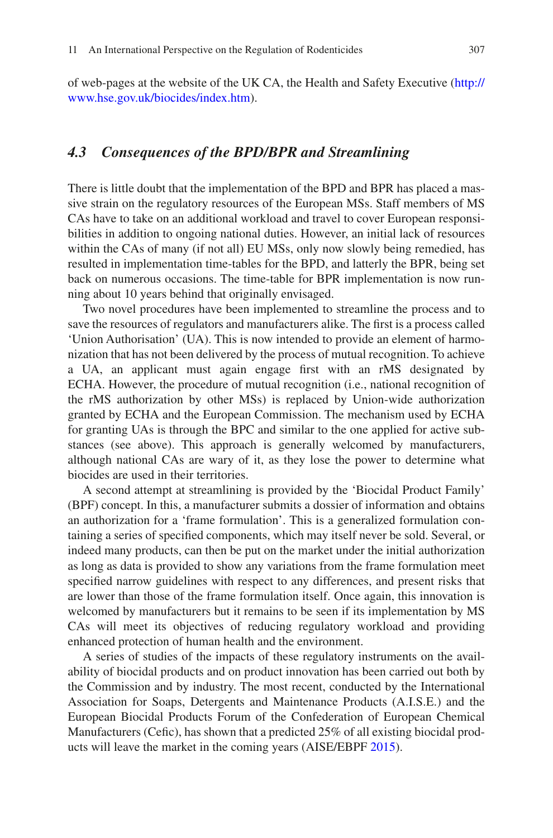of web-pages at the website of the UK CA, the Health and Safety Executive ([http://](http://www.hse.gov.uk/biocides/index.htm) [www.hse.gov.uk/biocides/index.htm\)](http://www.hse.gov.uk/biocides/index.htm).

#### *4.3 Consequences of the BPD/BPR and Streamlining*

There is little doubt that the implementation of the BPD and BPR has placed a massive strain on the regulatory resources of the European MSs. Staff members of MS CAs have to take on an additional workload and travel to cover European responsibilities in addition to ongoing national duties. However, an initial lack of resources within the CAs of many (if not all) EU MSs, only now slowly being remedied, has resulted in implementation time-tables for the BPD, and latterly the BPR, being set back on numerous occasions. The time-table for BPR implementation is now running about 10 years behind that originally envisaged.

Two novel procedures have been implemented to streamline the process and to save the resources of regulators and manufacturers alike. The first is a process called 'Union Authorisation' (UA). This is now intended to provide an element of harmonization that has not been delivered by the process of mutual recognition. To achieve a UA, an applicant must again engage first with an rMS designated by ECHA. However, the procedure of mutual recognition (i.e., national recognition of the rMS authorization by other MSs) is replaced by Union-wide authorization granted by ECHA and the European Commission. The mechanism used by ECHA for granting UAs is through the BPC and similar to the one applied for active substances (see above). This approach is generally welcomed by manufacturers, although national CAs are wary of it, as they lose the power to determine what biocides are used in their territories.

A second attempt at streamlining is provided by the 'Biocidal Product Family' (BPF) concept. In this, a manufacturer submits a dossier of information and obtains an authorization for a 'frame formulation'. This is a generalized formulation containing a series of specified components, which may itself never be sold. Several, or indeed many products, can then be put on the market under the initial authorization as long as data is provided to show any variations from the frame formulation meet specified narrow guidelines with respect to any differences, and present risks that are lower than those of the frame formulation itself. Once again, this innovation is welcomed by manufacturers but it remains to be seen if its implementation by MS CAs will meet its objectives of reducing regulatory workload and providing enhanced protection of human health and the environment.

A series of studies of the impacts of these regulatory instruments on the availability of biocidal products and on product innovation has been carried out both by the Commission and by industry. The most recent, conducted by the International Association for Soaps, Detergents and Maintenance Products (A.I.S.E.) and the European Biocidal Products Forum of the Confederation of European Chemical Manufacturers (Cefic), has shown that a predicted 25% of all existing biocidal products will leave the market in the coming years (AISE/EBPF 2015).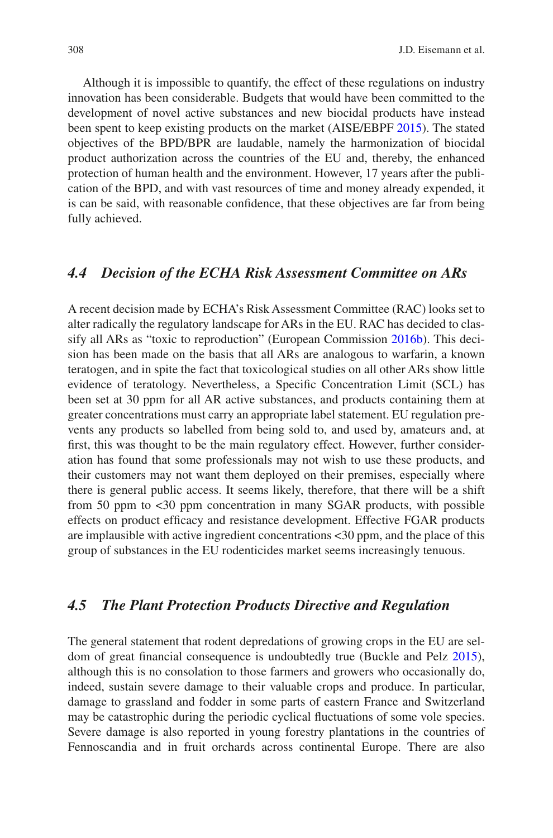Although it is impossible to quantify, the effect of these regulations on industry innovation has been considerable. Budgets that would have been committed to the development of novel active substances and new biocidal products have instead been spent to keep existing products on the market (AISE/EBPF 2015). The stated objectives of the BPD/BPR are laudable, namely the harmonization of biocidal product authorization across the countries of the EU and, thereby, the enhanced protection of human health and the environment. However, 17 years after the publication of the BPD, and with vast resources of time and money already expended, it is can be said, with reasonable confidence, that these objectives are far from being fully achieved.

#### *4.4 Decision of the ECHA Risk Assessment Committee on ARs*

A recent decision made by ECHA's Risk Assessment Committee (RAC) looks set to alter radically the regulatory landscape for ARs in the EU. RAC has decided to classify all ARs as "toxic to reproduction" (European Commission 2016b). This decision has been made on the basis that all ARs are analogous to warfarin, a known teratogen, and in spite the fact that toxicological studies on all other ARs show little evidence of teratology. Nevertheless, a Specific Concentration Limit (SCL) has been set at 30 ppm for all AR active substances, and products containing them at greater concentrations must carry an appropriate label statement. EU regulation prevents any products so labelled from being sold to, and used by, amateurs and, at first, this was thought to be the main regulatory effect. However, further consideration has found that some professionals may not wish to use these products, and their customers may not want them deployed on their premises, especially where there is general public access. It seems likely, therefore, that there will be a shift from 50 ppm to <30 ppm concentration in many SGAR products, with possible effects on product efficacy and resistance development. Effective FGAR products are implausible with active ingredient concentrations <30 ppm, and the place of this group of substances in the EU rodenticides market seems increasingly tenuous.

#### *4.5 The Plant Protection Products Directive and Regulation*

The general statement that rodent depredations of growing crops in the EU are seldom of great financial consequence is undoubtedly true (Buckle and Pelz 2015), although this is no consolation to those farmers and growers who occasionally do, indeed, sustain severe damage to their valuable crops and produce. In particular, damage to grassland and fodder in some parts of eastern France and Switzerland may be catastrophic during the periodic cyclical fluctuations of some vole species. Severe damage is also reported in young forestry plantations in the countries of Fennoscandia and in fruit orchards across continental Europe. There are also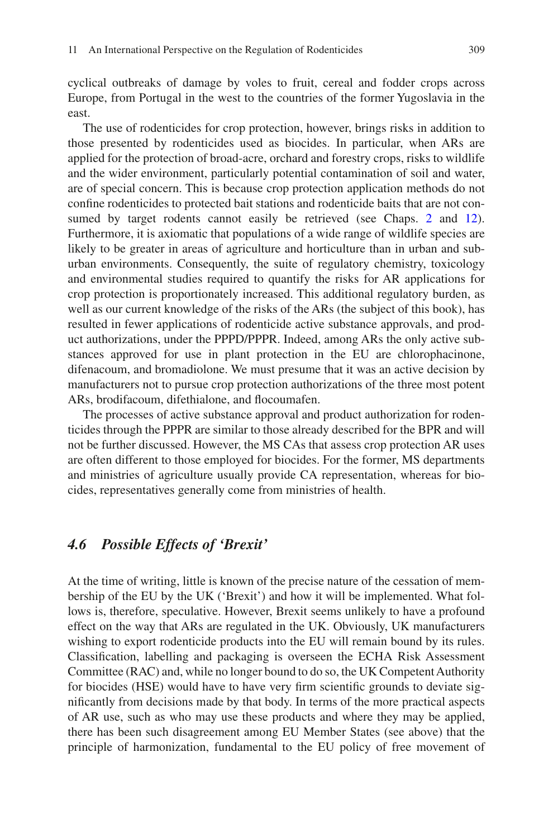cyclical outbreaks of damage by voles to fruit, cereal and fodder crops across Europe, from Portugal in the west to the countries of the former Yugoslavia in the east.

The use of rodenticides for crop protection, however, brings risks in addition to those presented by rodenticides used as biocides. In particular, when ARs are applied for the protection of broad-acre, orchard and forestry crops, risks to wildlife and the wider environment, particularly potential contamination of soil and water, are of special concern. This is because crop protection application methods do not confine rodenticides to protected bait stations and rodenticide baits that are not consumed by target rodents cannot easily be retrieved (see Chaps. 2 and 12). Furthermore, it is axiomatic that populations of a wide range of wildlife species are likely to be greater in areas of agriculture and horticulture than in urban and suburban environments. Consequently, the suite of regulatory chemistry, toxicology and environmental studies required to quantify the risks for AR applications for crop protection is proportionately increased. This additional regulatory burden, as well as our current knowledge of the risks of the ARs (the subject of this book), has resulted in fewer applications of rodenticide active substance approvals, and product authorizations, under the PPPD/PPPR. Indeed, among ARs the only active substances approved for use in plant protection in the EU are chlorophacinone, difenacoum, and bromadiolone. We must presume that it was an active decision by manufacturers not to pursue crop protection authorizations of the three most potent ARs, brodifacoum, difethialone, and flocoumafen.

The processes of active substance approval and product authorization for rodenticides through the PPPR are similar to those already described for the BPR and will not be further discussed. However, the MS CAs that assess crop protection AR uses are often different to those employed for biocides. For the former, MS departments and ministries of agriculture usually provide CA representation, whereas for biocides, representatives generally come from ministries of health.

#### *4.6 Possible Effects of 'Brexit'*

At the time of writing, little is known of the precise nature of the cessation of membership of the EU by the UK ('Brexit') and how it will be implemented. What follows is, therefore, speculative. However, Brexit seems unlikely to have a profound effect on the way that ARs are regulated in the UK. Obviously, UK manufacturers wishing to export rodenticide products into the EU will remain bound by its rules. Classification, labelling and packaging is overseen the ECHA Risk Assessment Committee (RAC) and, while no longer bound to do so, the UK Competent Authority for biocides (HSE) would have to have very firm scientific grounds to deviate significantly from decisions made by that body. In terms of the more practical aspects of AR use, such as who may use these products and where they may be applied, there has been such disagreement among EU Member States (see above) that the principle of harmonization, fundamental to the EU policy of free movement of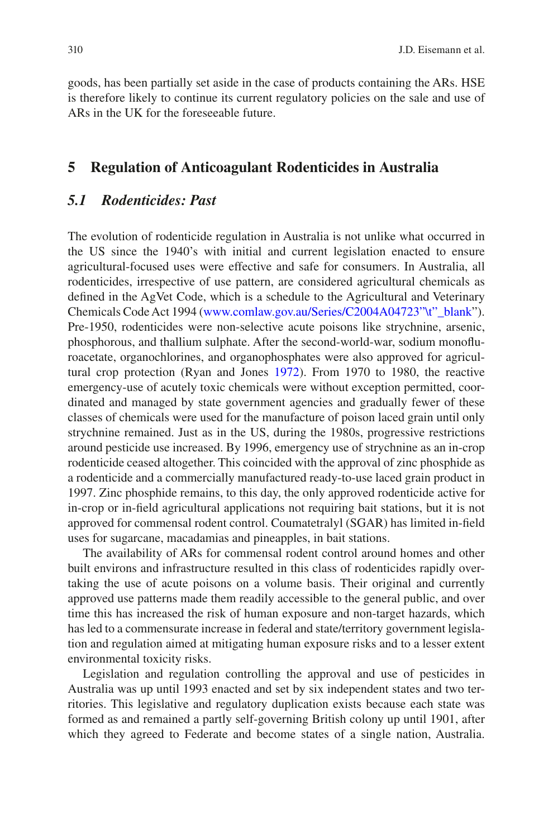goods, has been partially set aside in the case of products containing the ARs. HSE is therefore likely to continue its current regulatory policies on the sale and use of ARs in the UK for the foreseeable future.

#### **5 Regulation of Anticoagulant Rodenticides in Australia**

#### *5.1 Rodenticides: Past*

The evolution of rodenticide regulation in Australia is not unlike what occurred in the US since the 1940's with initial and current legislation enacted to ensure agricultural-focused uses were effective and safe for consumers. In Australia, all rodenticides, irrespective of use pattern, are considered agricultural chemicals as defined in the AgVet Code, which is a schedule to the Agricultural and Veterinary Chemicals Code Act 1994 ([www.comlaw.gov.au/Series/C2004A04723"\t"\\_blank](http://www.comlaw.gov.au/Series/C2004A04723)"). Pre-1950, rodenticides were non-selective acute poisons like strychnine, arsenic, phosphorous, and thallium sulphate. After the second-world-war, sodium monofluroacetate, organochlorines, and organophosphates were also approved for agricultural crop protection (Ryan and Jones 1972). From 1970 to 1980, the reactive emergency-use of acutely toxic chemicals were without exception permitted, coordinated and managed by state government agencies and gradually fewer of these classes of chemicals were used for the manufacture of poison laced grain until only strychnine remained. Just as in the US, during the 1980s, progressive restrictions around pesticide use increased. By 1996, emergency use of strychnine as an in-crop rodenticide ceased altogether. This coincided with the approval of zinc phosphide as a rodenticide and a commercially manufactured ready-to-use laced grain product in 1997. Zinc phosphide remains, to this day, the only approved rodenticide active for in-crop or in-field agricultural applications not requiring bait stations, but it is not approved for commensal rodent control. Coumatetralyl (SGAR) has limited in-field uses for sugarcane, macadamias and pineapples, in bait stations.

The availability of ARs for commensal rodent control around homes and other built environs and infrastructure resulted in this class of rodenticides rapidly overtaking the use of acute poisons on a volume basis. Their original and currently approved use patterns made them readily accessible to the general public, and over time this has increased the risk of human exposure and non-target hazards, which has led to a commensurate increase in federal and state/territory government legislation and regulation aimed at mitigating human exposure risks and to a lesser extent environmental toxicity risks.

Legislation and regulation controlling the approval and use of pesticides in Australia was up until 1993 enacted and set by six independent states and two territories. This legislative and regulatory duplication exists because each state was formed as and remained a partly self-governing British colony up until 1901, after which they agreed to Federate and become states of a single nation, Australia.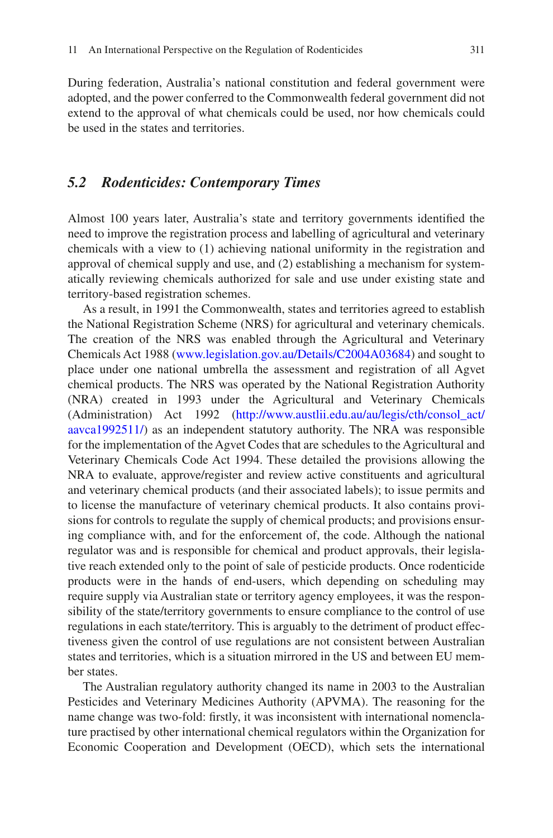During federation, Australia's national constitution and federal government were adopted, and the power conferred to the Commonwealth federal government did not extend to the approval of what chemicals could be used, nor how chemicals could be used in the states and territories.

#### *5.2 Rodenticides: Contemporary Times*

Almost 100 years later, Australia's state and territory governments identified the need to improve the registration process and labelling of agricultural and veterinary chemicals with a view to (1) achieving national uniformity in the registration and approval of chemical supply and use, and (2) establishing a mechanism for systematically reviewing chemicals authorized for sale and use under existing state and territory-based registration schemes.

As a result, in 1991 the Commonwealth, states and territories agreed to establish the National Registration Scheme (NRS) for agricultural and veterinary chemicals. The creation of the NRS was enabled through the Agricultural and Veterinary Chemicals Act 1988 [\(www.legislation.gov.au/Details/C2004A03684\)](http://www.legislation.gov.au/Details/C2004A03684) and sought to place under one national umbrella the assessment and registration of all Agvet chemical products. The NRS was operated by the National Registration Authority (NRA) created in 1993 under the Agricultural and Veterinary Chemicals (Administration) Act 1992 ([http://www.austlii.edu.au/au/legis/cth/consol\\_act/](http://www.austlii.edu.au/au/legis/cth/consol_act/aavca1992511/) [aavca1992511/](http://www.austlii.edu.au/au/legis/cth/consol_act/aavca1992511/)) as an independent statutory authority. The NRA was responsible for the implementation of the Agvet Codes that are schedules to the Agricultural and Veterinary Chemicals Code Act 1994. These detailed the provisions allowing the NRA to evaluate, approve/register and review active constituents and agricultural and veterinary chemical products (and their associated labels); to issue permits and to license the manufacture of veterinary chemical products. It also contains provisions for controls to regulate the supply of chemical products; and provisions ensuring compliance with, and for the enforcement of, the code. Although the national regulator was and is responsible for chemical and product approvals, their legislative reach extended only to the point of sale of pesticide products. Once rodenticide products were in the hands of end-users, which depending on scheduling may require supply via Australian state or territory agency employees, it was the responsibility of the state/territory governments to ensure compliance to the control of use regulations in each state/territory. This is arguably to the detriment of product effectiveness given the control of use regulations are not consistent between Australian states and territories, which is a situation mirrored in the US and between EU member states.

The Australian regulatory authority changed its name in 2003 to the Australian Pesticides and Veterinary Medicines Authority (APVMA). The reasoning for the name change was two-fold: firstly, it was inconsistent with international nomenclature practised by other international chemical regulators within the Organization for Economic Cooperation and Development (OECD), which sets the international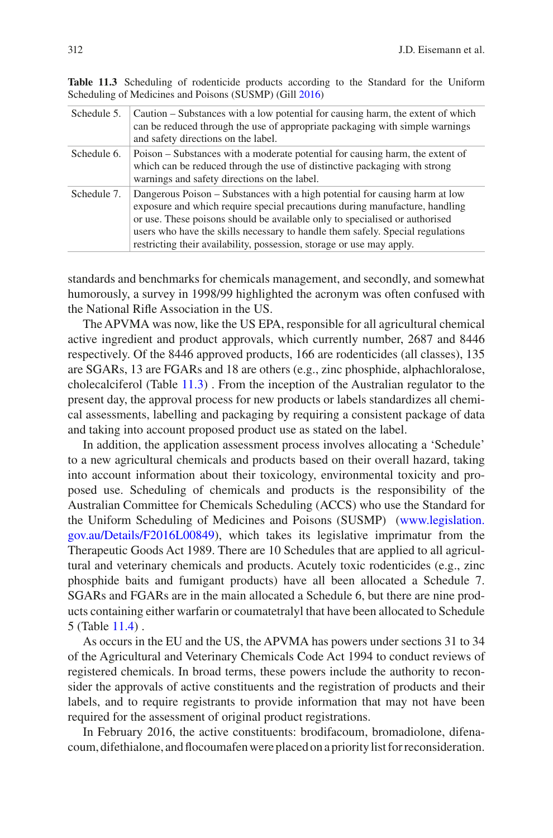| Schedule 5. | Caution – Substances with a low potential for causing harm, the extent of which<br>can be reduced through the use of appropriate packaging with simple warnings<br>and safety directions on the label.                                                                                                                                                                                               |
|-------------|------------------------------------------------------------------------------------------------------------------------------------------------------------------------------------------------------------------------------------------------------------------------------------------------------------------------------------------------------------------------------------------------------|
| Schedule 6. | Poison – Substances with a moderate potential for causing harm, the extent of<br>which can be reduced through the use of distinctive packaging with strong<br>warnings and safety directions on the label.                                                                                                                                                                                           |
| Schedule 7. | Dangerous Poison – Substances with a high potential for causing harm at low<br>exposure and which require special precautions during manufacture, handling<br>or use. These poisons should be available only to specialised or authorised<br>users who have the skills necessary to handle them safely. Special regulations<br>restricting their availability, possession, storage or use may apply. |

**Table 11.3** Scheduling of rodenticide products according to the Standard for the Uniform Scheduling of Medicines and Poisons (SUSMP) (Gill 2016)

standards and benchmarks for chemicals management, and secondly, and somewhat humorously, a survey in 1998/99 highlighted the acronym was often confused with the National Rifle Association in the US.

The APVMA was now, like the US EPA, responsible for all agricultural chemical active ingredient and product approvals, which currently number, 2687 and 8446 respectively. Of the 8446 approved products, 166 are rodenticides (all classes), 135 are SGARs, 13 are FGARs and 18 are others (e.g., zinc phosphide, alphachloralose, cholecalciferol (Table 11.3) . From the inception of the Australian regulator to the present day, the approval process for new products or labels standardizes all chemical assessments, labelling and packaging by requiring a consistent package of data and taking into account proposed product use as stated on the label.

In addition, the application assessment process involves allocating a 'Schedule' to a new agricultural chemicals and products based on their overall hazard, taking into account information about their toxicology, environmental toxicity and proposed use. Scheduling of chemicals and products is the responsibility of the Australian Committee for Chemicals Scheduling (ACCS) who use the Standard for the Uniform Scheduling of Medicines and Poisons (SUSMP) ([www.legislation.](http://www.legislation.gov.au/Details/F2016L00849) [gov.au/Details/F2016L00849\)](http://www.legislation.gov.au/Details/F2016L00849), which takes its legislative imprimatur from the Therapeutic Goods Act 1989. There are 10 Schedules that are applied to all agricultural and veterinary chemicals and products. Acutely toxic rodenticides (e.g., zinc phosphide baits and fumigant products) have all been allocated a Schedule 7. SGARs and FGARs are in the main allocated a Schedule 6, but there are nine products containing either warfarin or coumatetralyl that have been allocated to Schedule 5 (Table 11.4) .

As occurs in the EU and the US, the APVMA has powers under sections 31 to 34 of the Agricultural and Veterinary Chemicals Code Act 1994 to conduct reviews of registered chemicals. In broad terms, these powers include the authority to reconsider the approvals of active constituents and the registration of products and their labels, and to require registrants to provide information that may not have been required for the assessment of original product registrations.

In February 2016, the active constituents: brodifacoum, bromadiolone, difenacoum, difethialone, and flocoumafen were placed on a priority list for reconsideration.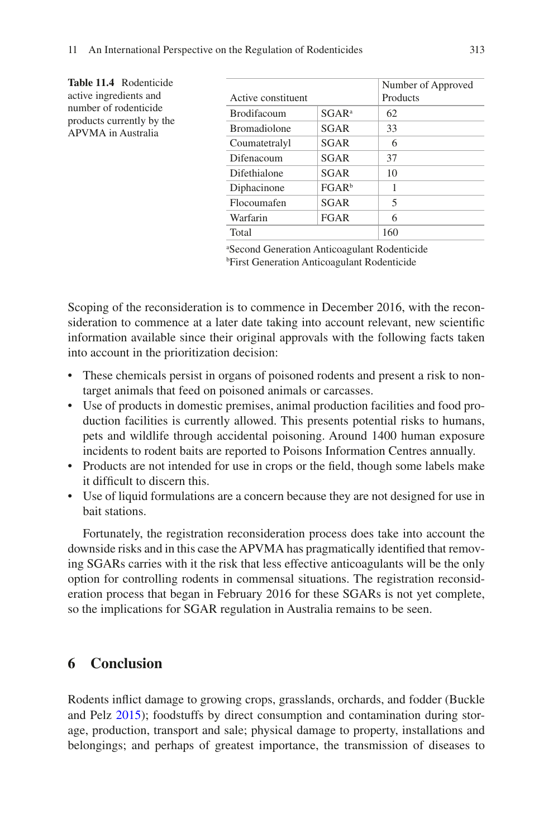| Table 11.4 Rodenticide<br>active ingredients and<br>number of rodenticide<br>products currently by the<br>APVMA in Australia | Active constituent  |                   | Number of Approved<br>Products |
|------------------------------------------------------------------------------------------------------------------------------|---------------------|-------------------|--------------------------------|
|                                                                                                                              | <b>Brodifacoum</b>  | SGAR <sup>a</sup> | 62                             |
|                                                                                                                              | <b>Bromadiolone</b> | SGAR              | 33                             |
|                                                                                                                              | Coumatetralyl       | SGAR              | 6                              |
|                                                                                                                              | Difenacoum          | <b>SGAR</b>       | 37                             |
|                                                                                                                              | Difethialone        | <b>SGAR</b>       | 10                             |
|                                                                                                                              | Diphacinone         | $FGAR^b$          |                                |
|                                                                                                                              | Flocoumafen         | <b>SGAR</b>       | 5                              |
|                                                                                                                              | Warfarin            | <b>FGAR</b>       | 6                              |
|                                                                                                                              | Total               |                   | 160                            |
|                                                                                                                              |                     |                   |                                |

a Second Generation Anticoagulant Rodenticide b First Generation Anticoagulant Rodenticide

Scoping of the reconsideration is to commence in December 2016, with the reconsideration to commence at a later date taking into account relevant, new scientific information available since their original approvals with the following facts taken into account in the prioritization decision:

- These chemicals persist in organs of poisoned rodents and present a risk to nontarget animals that feed on poisoned animals or carcasses.
- Use of products in domestic premises, animal production facilities and food production facilities is currently allowed. This presents potential risks to humans, pets and wildlife through accidental poisoning. Around 1400 human exposure incidents to rodent baits are reported to Poisons Information Centres annually.
- Products are not intended for use in crops or the field, though some labels make it difficult to discern this.
- Use of liquid formulations are a concern because they are not designed for use in bait stations.

Fortunately, the registration reconsideration process does take into account the downside risks and in this case the APVMA has pragmatically identified that removing SGARs carries with it the risk that less effective anticoagulants will be the only option for controlling rodents in commensal situations. The registration reconsideration process that began in February 2016 for these SGARs is not yet complete, so the implications for SGAR regulation in Australia remains to be seen.

# **6 Conclusion**

Rodents inflict damage to growing crops, grasslands, orchards, and fodder (Buckle and Pelz 2015); foodstuffs by direct consumption and contamination during storage, production, transport and sale; physical damage to property, installations and belongings; and perhaps of greatest importance, the transmission of diseases to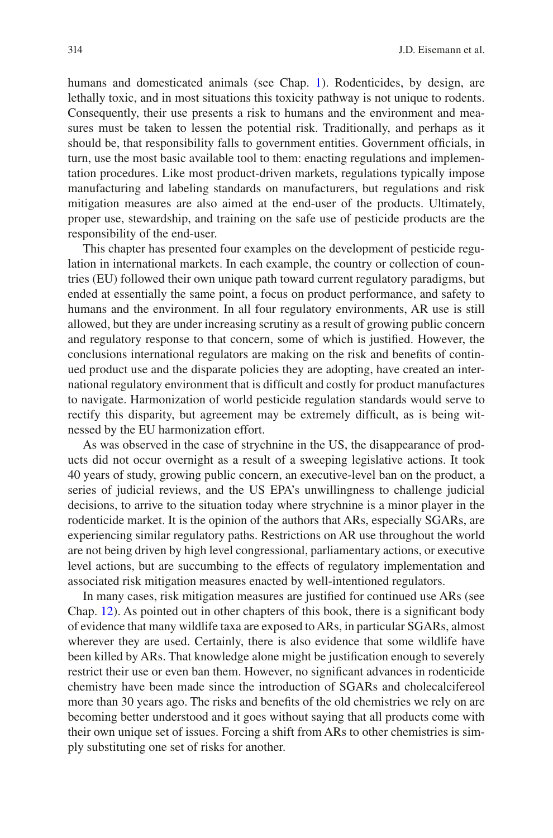humans and domesticated animals (see Chap. 1). Rodenticides, by design, are lethally toxic, and in most situations this toxicity pathway is not unique to rodents. Consequently, their use presents a risk to humans and the environment and measures must be taken to lessen the potential risk. Traditionally, and perhaps as it should be, that responsibility falls to government entities. Government officials, in turn, use the most basic available tool to them: enacting regulations and implementation procedures. Like most product-driven markets, regulations typically impose manufacturing and labeling standards on manufacturers, but regulations and risk mitigation measures are also aimed at the end-user of the products. Ultimately, proper use, stewardship, and training on the safe use of pesticide products are the responsibility of the end-user.

This chapter has presented four examples on the development of pesticide regulation in international markets. In each example, the country or collection of countries (EU) followed their own unique path toward current regulatory paradigms, but ended at essentially the same point, a focus on product performance, and safety to humans and the environment. In all four regulatory environments, AR use is still allowed, but they are under increasing scrutiny as a result of growing public concern and regulatory response to that concern, some of which is justified. However, the conclusions international regulators are making on the risk and benefits of continued product use and the disparate policies they are adopting, have created an international regulatory environment that is difficult and costly for product manufactures to navigate. Harmonization of world pesticide regulation standards would serve to rectify this disparity, but agreement may be extremely difficult, as is being witnessed by the EU harmonization effort.

As was observed in the case of strychnine in the US, the disappearance of products did not occur overnight as a result of a sweeping legislative actions. It took 40 years of study, growing public concern, an executive-level ban on the product, a series of judicial reviews, and the US EPA's unwillingness to challenge judicial decisions, to arrive to the situation today where strychnine is a minor player in the rodenticide market. It is the opinion of the authors that ARs, especially SGARs, are experiencing similar regulatory paths. Restrictions on AR use throughout the world are not being driven by high level congressional, parliamentary actions, or executive level actions, but are succumbing to the effects of regulatory implementation and associated risk mitigation measures enacted by well-intentioned regulators.

In many cases, risk mitigation measures are justified for continued use ARs (see Chap. 12). As pointed out in other chapters of this book, there is a significant body of evidence that many wildlife taxa are exposed to ARs, in particular SGARs, almost wherever they are used. Certainly, there is also evidence that some wildlife have been killed by ARs. That knowledge alone might be justification enough to severely restrict their use or even ban them. However, no significant advances in rodenticide chemistry have been made since the introduction of SGARs and cholecalcifereol more than 30 years ago. The risks and benefits of the old chemistries we rely on are becoming better understood and it goes without saying that all products come with their own unique set of issues. Forcing a shift from ARs to other chemistries is simply substituting one set of risks for another.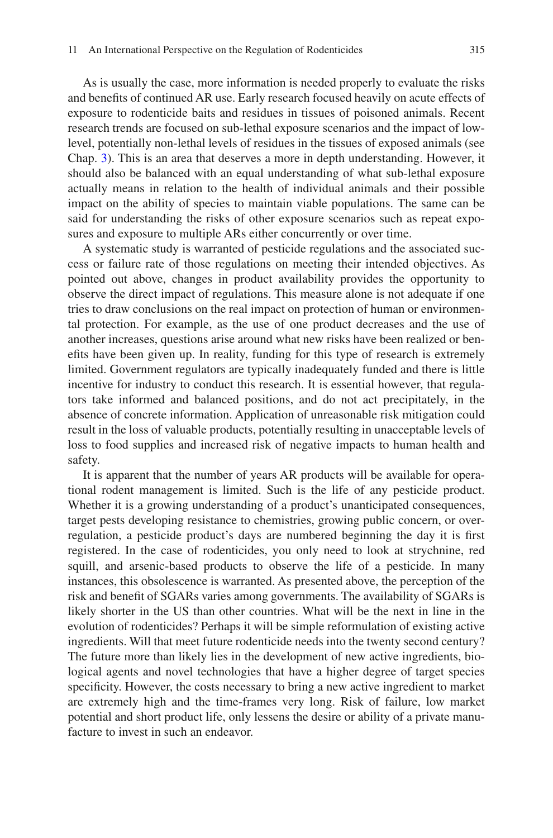As is usually the case, more information is needed properly to evaluate the risks and benefits of continued AR use. Early research focused heavily on acute effects of exposure to rodenticide baits and residues in tissues of poisoned animals. Recent research trends are focused on sub-lethal exposure scenarios and the impact of lowlevel, potentially non-lethal levels of residues in the tissues of exposed animals (see Chap. 3). This is an area that deserves a more in depth understanding. However, it should also be balanced with an equal understanding of what sub-lethal exposure actually means in relation to the health of individual animals and their possible impact on the ability of species to maintain viable populations. The same can be said for understanding the risks of other exposure scenarios such as repeat exposures and exposure to multiple ARs either concurrently or over time.

A systematic study is warranted of pesticide regulations and the associated success or failure rate of those regulations on meeting their intended objectives. As pointed out above, changes in product availability provides the opportunity to observe the direct impact of regulations. This measure alone is not adequate if one tries to draw conclusions on the real impact on protection of human or environmental protection. For example, as the use of one product decreases and the use of another increases, questions arise around what new risks have been realized or benefits have been given up. In reality, funding for this type of research is extremely limited. Government regulators are typically inadequately funded and there is little incentive for industry to conduct this research. It is essential however, that regulators take informed and balanced positions, and do not act precipitately, in the absence of concrete information. Application of unreasonable risk mitigation could result in the loss of valuable products, potentially resulting in unacceptable levels of loss to food supplies and increased risk of negative impacts to human health and safety.

It is apparent that the number of years AR products will be available for operational rodent management is limited. Such is the life of any pesticide product. Whether it is a growing understanding of a product's unanticipated consequences, target pests developing resistance to chemistries, growing public concern, or overregulation, a pesticide product's days are numbered beginning the day it is first registered. In the case of rodenticides, you only need to look at strychnine, red squill, and arsenic-based products to observe the life of a pesticide. In many instances, this obsolescence is warranted. As presented above, the perception of the risk and benefit of SGARs varies among governments. The availability of SGARs is likely shorter in the US than other countries. What will be the next in line in the evolution of rodenticides? Perhaps it will be simple reformulation of existing active ingredients. Will that meet future rodenticide needs into the twenty second century? The future more than likely lies in the development of new active ingredients, biological agents and novel technologies that have a higher degree of target species specificity. However, the costs necessary to bring a new active ingredient to market are extremely high and the time-frames very long. Risk of failure, low market potential and short product life, only lessens the desire or ability of a private manufacture to invest in such an endeavor.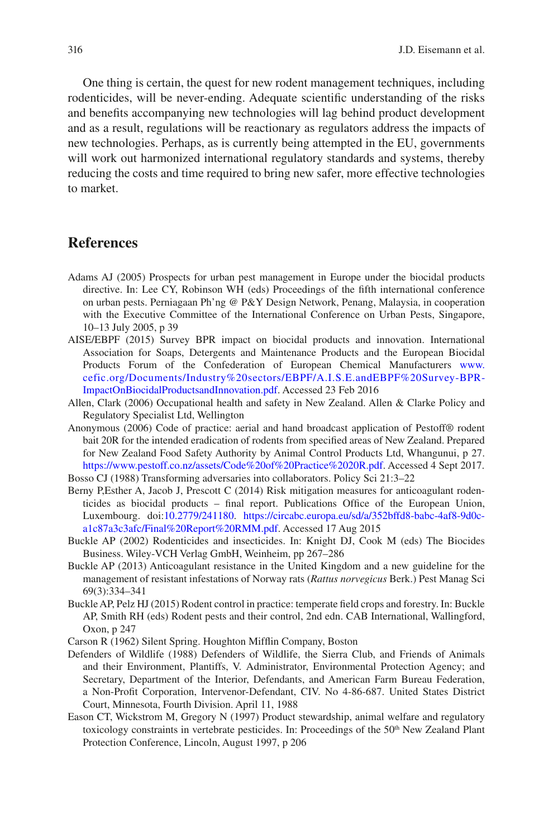One thing is certain, the quest for new rodent management techniques, including rodenticides, will be never-ending. Adequate scientific understanding of the risks and benefits accompanying new technologies will lag behind product development and as a result, regulations will be reactionary as regulators address the impacts of new technologies. Perhaps, as is currently being attempted in the EU, governments will work out harmonized international regulatory standards and systems, thereby reducing the costs and time required to bring new safer, more effective technologies to market.

#### **References**

- Adams AJ (2005) Prospects for urban pest management in Europe under the biocidal products directive. In: Lee CY, Robinson WH (eds) Proceedings of the fifth international conference on urban pests. Perniagaan Ph'ng @ P&Y Design Network, Penang, Malaysia, in cooperation with the Executive Committee of the International Conference on Urban Pests, Singapore, 10–13 July 2005, p 39
- AISE/EBPF (2015) Survey BPR impact on biocidal products and innovation. International Association for Soaps, Detergents and Maintenance Products and the European Biocidal Products Forum of the Confederation of European Chemical Manufacturers [www.](http://www.cefic.org/Documents/Industry sectors/EBPF/A.I.S.E.andEBPF Survey-BPR-ImpactOnBiocidalProductsandInnovation.pdf) [cefic.org/Documents/Industry%20sectors/EBPF/A.I.S.E.andEBPF%20Survey-BPR-](http://www.cefic.org/Documents/Industry sectors/EBPF/A.I.S.E.andEBPF Survey-BPR-ImpactOnBiocidalProductsandInnovation.pdf)[ImpactOnBiocidalProductsandInnovation.pdf.](http://www.cefic.org/Documents/Industry sectors/EBPF/A.I.S.E.andEBPF Survey-BPR-ImpactOnBiocidalProductsandInnovation.pdf) Accessed 23 Feb 2016
- Allen, Clark (2006) Occupational health and safety in New Zealand. Allen & Clarke Policy and Regulatory Specialist Ltd, Wellington
- Anonymous (2006) Code of practice: aerial and hand broadcast application of Pestoff® rodent bait 20R for the intended eradication of rodents from specified areas of New Zealand. Prepared for New Zealand Food Safety Authority by Animal Control Products Ltd, Whangunui, p 27. [https://www.pestoff.co.nz/assets/Code%20of%20Practice%2020R.pdf](https://www.pestoff.co.nz/assets/Code of Practice 20R.pdf). Accessed 4 Sept 2017.
- Bosso CJ (1988) Transforming adversaries into collaborators. Policy Sci 21:3–22
- Berny P,Esther A, Jacob J, Prescott C (2014) Risk mitigation measures for anticoagulant rodenticides as biocidal products – final report. Publications Office of the European Union, Luxembourg. doi[:10.2779/241180.](https://doi.org/10.2779/241180) [https://circabc.europa.eu/sd/a/352bffd8-babc-4af8-9d0c](https://circabc.europa.eu/sd/a/352bffd8-babc-4af8-9d0c-a1c87a3c3afc/Final Report RMM.pdf)[a1c87a3c3afc/Final%20Report%20RMM.pdf.](https://circabc.europa.eu/sd/a/352bffd8-babc-4af8-9d0c-a1c87a3c3afc/Final Report RMM.pdf) Accessed 17 Aug 2015
- Buckle AP (2002) Rodenticides and insecticides. In: Knight DJ, Cook M (eds) The Biocides Business. Wiley-VCH Verlag GmbH, Weinheim, pp 267–286
- Buckle AP (2013) Anticoagulant resistance in the United Kingdom and a new guideline for the management of resistant infestations of Norway rats (*Rattus norvegicus* Berk.) Pest Manag Sci 69(3):334–341
- Buckle AP, Pelz HJ (2015) Rodent control in practice: temperate field crops and forestry. In: Buckle AP, Smith RH (eds) Rodent pests and their control, 2nd edn. CAB International, Wallingford, Oxon, p 247
- Carson R (1962) Silent Spring. Houghton Mifflin Company, Boston
- Defenders of Wildlife (1988) Defenders of Wildlife, the Sierra Club, and Friends of Animals and their Environment, Plantiffs, V. Administrator, Environmental Protection Agency; and Secretary, Department of the Interior, Defendants, and American Farm Bureau Federation, a Non-Profit Corporation, Intervenor-Defendant, CIV. No 4-86-687. United States District Court, Minnesota, Fourth Division. April 11, 1988
- Eason CT, Wickstrom M, Gregory N (1997) Product stewardship, animal welfare and regulatory toxicology constraints in vertebrate pesticides. In: Proceedings of the 50<sup>th</sup> New Zealand Plant Protection Conference, Lincoln, August 1997, p 206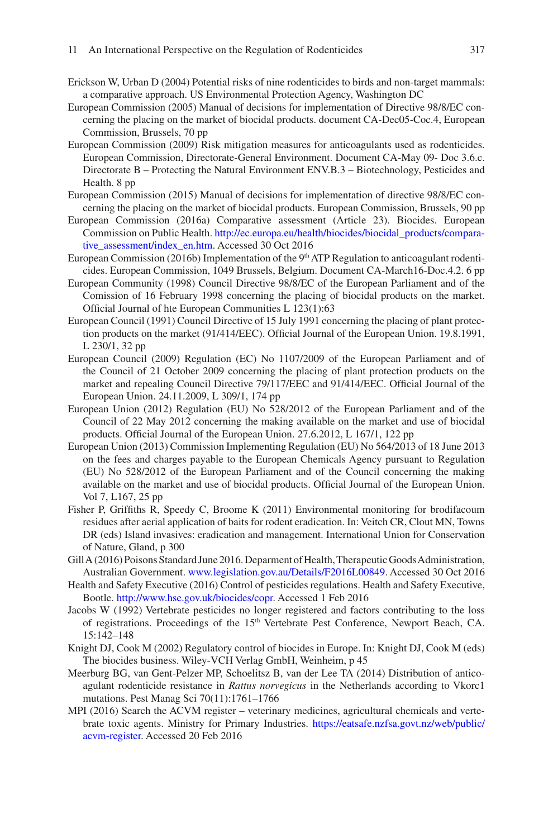- Erickson W, Urban D (2004) Potential risks of nine rodenticides to birds and non-target mammals: a comparative approach. US Environmental Protection Agency, Washington DC
- European Commission (2005) Manual of decisions for implementation of Directive 98/8/EC concerning the placing on the market of biocidal products. document CA-Dec05-Coc.4, European Commission, Brussels, 70 pp
- European Commission (2009) Risk mitigation measures for anticoagulants used as rodenticides. European Commission, Directorate-General Environment. Document CA-May 09- Doc 3.6.c. Directorate B – Protecting the Natural Environment ENV.B.3 – Biotechnology, Pesticides and Health. 8 pp
- European Commission (2015) Manual of decisions for implementation of directive 98/8/EC concerning the placing on the market of biocidal products. European Commission, Brussels, 90 pp
- European Commission (2016a) Comparative assessment (Article 23). Biocides. European Commission on Public Health. [http://ec.europa.eu/health/biocides/biocidal\\_products/compara](http://ec.europa.eu/health/biocides/biocidal_products/comparative_assessment/index_en.htm)[tive\\_assessment/index\\_en.htm](http://ec.europa.eu/health/biocides/biocidal_products/comparative_assessment/index_en.htm). Accessed 30 Oct 2016
- European Commission (2016b) Implementation of the 9<sup>th</sup> ATP Regulation to anticoagulant rodenticides. European Commission, 1049 Brussels, Belgium. Document CA-March16-Doc.4.2. 6 pp
- European Community (1998) Council Directive 98/8/EC of the European Parliament and of the Comission of 16 February 1998 concerning the placing of biocidal products on the market. Official Journal of hte European Communities L 123(1):63
- European Council (1991) Council Directive of 15 July 1991 concerning the placing of plant protection products on the market (91/414/EEC). Official Journal of the European Union. 19.8.1991, L 230/1, 32 pp
- European Council (2009) Regulation (EC) No 1107/2009 of the European Parliament and of the Council of 21 October 2009 concerning the placing of plant protection products on the market and repealing Council Directive 79/117/EEC and 91/414/EEC. Official Journal of the European Union. 24.11.2009, L 309/1, 174 pp
- European Union (2012) Regulation (EU) No 528/2012 of the European Parliament and of the Council of 22 May 2012 concerning the making available on the market and use of biocidal products. Official Journal of the European Union. 27.6.2012, L 167/1, 122 pp
- European Union (2013) Commission Implementing Regulation (EU) No 564/2013 of 18 June 2013 on the fees and charges payable to the European Chemicals Agency pursuant to Regulation (EU) No 528/2012 of the European Parliament and of the Council concerning the making available on the market and use of biocidal products. Official Journal of the European Union. Vol 7, L167, 25 pp
- Fisher P, Griffiths R, Speedy C, Broome K (2011) Environmental monitoring for brodifacoum residues after aerial application of baits for rodent eradication. In: Veitch CR, Clout MN, Towns DR (eds) Island invasives: eradication and management. International Union for Conservation of Nature, Gland, p 300
- Gill A (2016) Poisons Standard June 2016. Deparment of Health, Therapeutic Goods Administration, Australian Government. [www.legislation.gov.au/Details/F2016L00849](http://www.legislation.gov.au/Details/F2016L00849). Accessed 30 Oct 2016
- Health and Safety Executive (2016) Control of pesticides regulations. Health and Safety Executive, Bootle. [http://www.hse.gov.uk/biocides/copr.](http://www.hse.gov.uk/biocides/copr) Accessed 1 Feb 2016
- Jacobs W (1992) Vertebrate pesticides no longer registered and factors contributing to the loss of registrations. Proceedings of the 15<sup>th</sup> Vertebrate Pest Conference, Newport Beach, CA. 15:142–148
- Knight DJ, Cook M (2002) Regulatory control of biocides in Europe. In: Knight DJ, Cook M (eds) The biocides business. Wiley-VCH Verlag GmbH, Weinheim, p 45
- Meerburg BG, van Gent-Pelzer MP, Schoelitsz B, van der Lee TA (2014) Distribution of anticoagulant rodenticide resistance in *Rattus norvegicus* in the Netherlands according to Vkorc1 mutations. Pest Manag Sci 70(11):1761–1766
- MPI (2016) Search the ACVM register veterinary medicines, agricultural chemicals and vertebrate toxic agents. Ministry for Primary Industries. [https://eatsafe.nzfsa.govt.nz/web/public/](https://eatsafe.nzfsa.govt.nz/web/public/acvm-register) [acvm-register.](https://eatsafe.nzfsa.govt.nz/web/public/acvm-register) Accessed 20 Feb 2016